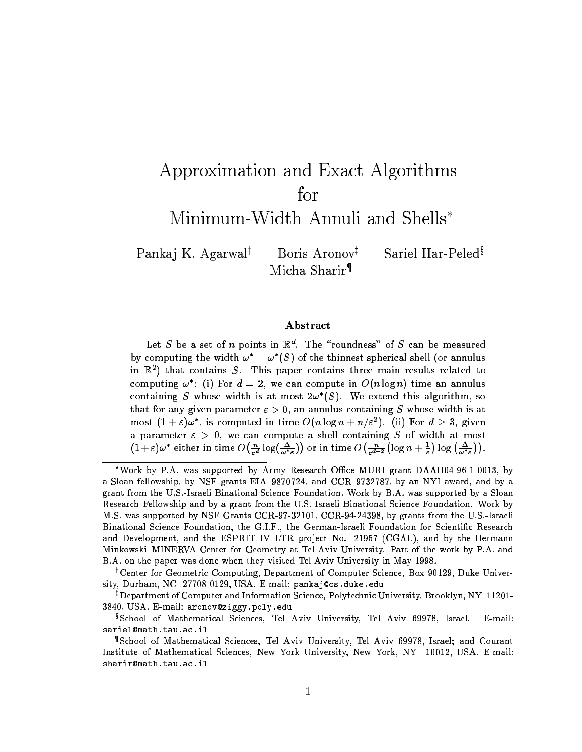# Approximation and Exact Algorithms  $for$ Minimum-Width Annuli and Shells

Pankaj K. Agarwal<sup>†</sup> Boris Aronov<sup>‡</sup>

Sariel Har-Peled<sup>§</sup>

Abstract

Micha Sharir{

Let S be a set of n points in  $\mathbb{R}^d$ . The "roundness" of S can be measured by computing the width  $\omega = \omega$  (5) of the thinnest spherical shell (or annulus in  $\mathbb{R}^+$  that contains  $S$ . This paper contains three main results related to computing  $\omega$  : (i) for  $a = 2$ , we can compute in  $\mathcal{O}(n \log n)$  time an annulus containing S whose width is at most  $2\omega$  (S). We extend this algorithm, so that for any given parameter  $\varepsilon > 0$ , an annulus containing S whose width is at most  $(1 + \varepsilon) \omega$ , is computed in time  $O(n \log n + n/\varepsilon)$ . (ii) for  $a > 3$ , given a parameter " <sup>&</sup>gt; 0, we can compute a shell containing <sup>S</sup> of width at most  $(1 + \varepsilon) \omega$  either in time  $\omega$  $\left(\frac{n}{\varepsilon^d} \log\left(\frac{\Delta}{\omega^* \varepsilon}\right)\right)$  $\sim$  $\sqrt{n}$  $\varepsilon$  - - - $(\log n + \frac{1}{\varepsilon})$ )  $\log\left(\frac{\Delta}{\omega^* \varepsilon}\right)$ ).

<sup>\*</sup>Work by P.A. was supported by Army Research Office MURI grant DAAH04-96-1-0013, by a Sloan fellowship, by NSF grants EIA-9870724, and CCR-9732787, by an NYI award, and by a grant from the U.S.-Israeli Binational Science Foundation. Work by B.A. was supported by a Sloan Research Fellowship and by a grant from the U.S.-Israeli Binational Science Foundation. Work by M.S. was supported by NSF Grants CCR-97-32101, CCR-94-24398, by grants from the U.S.-Israeli Binational Science Foundation, the G.I.F., the German-Israeli Foundation for Scientic Research and Development, and the ESPRIT IV LTR project No. 21957 (CGAL), and by the Hermann Minkowski-MINERVA Center for Geometry at Tel Aviv University. Part of the work by P.A. and B.A. on the paper was done when they visited Tel Aviv University in May 1998.

<sup>y</sup> Center for Geometric Computing, Department of Computer Science, Box 90129, Duke University, Durham, NC 27708-0129, USA. E-mail: pankaj@cs.duke.edu

<sup>z</sup> Department of Computer and Information Science, Polytechnic University, Brooklyn, NY 11201- 3840, USA. E-mail: aronov@ziggy.poly.edu

 $E$ -mail: <sup>x</sup> School of Mathematical Sciences, Tel Aviv University, Tel Aviv 69978, Israel. E-mail: sariel@math.tau.ac.il

<sup>{</sup> School of Mathematical Sciences, Tel Aviv University, Tel Aviv 69978, Israel; and Courant Institute of Mathematical Sciences, New York University, New York, NY 10012, USA. E-mail: sharir@math.tau.ac.il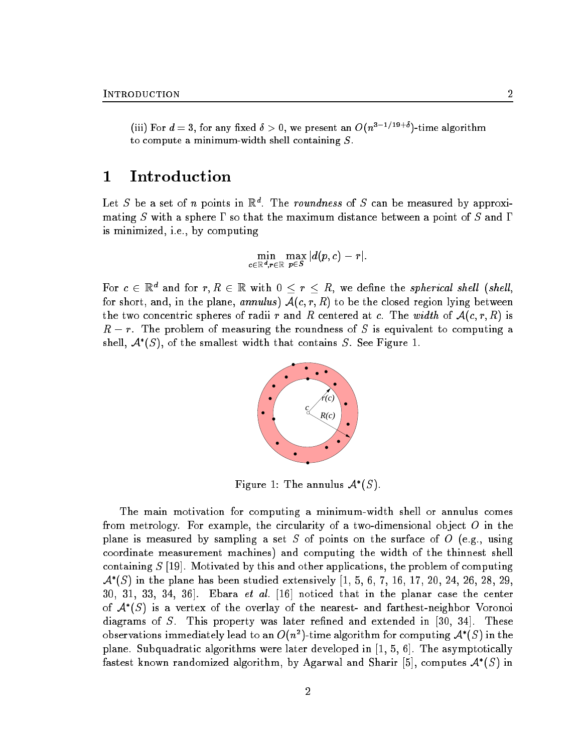(iii) For  $d=3$ , for any fixed  $\delta > 0$ , we present an  $O(n^{3-1/19+\delta})$ -time algorithm to compute a minimum-width shell containing S.

# 1 Introduction

Let S be a set of n points in  $\mathbb{R}^d$ . The roundness of S can be measured by approximating S with a sphere  $\Gamma$  so that the maximum distance between a point of S and  $\Gamma$ is minimized, i.e., by computing

$$
\min_{c\in\mathbb{R}^{\bm{d}},\bm{r}\in\mathbb{R}}\max_{\bm{p}\in\bm{S}}|d(p,c)-r|.
$$

For  $c\, \in\, \mathbb{R}^{\,d}$  and for  $r,R\, \in\, \mathbb{R}$  with  $0\, \leq\, r\, \leq\, R,$  we define the spherical shell (shell, for short, and, in the plane, annulus)  $A(c, r, R)$  to be the closed region lying between the two concentric spheres of radii r and R centered at c. The width of  $\mathcal{A}(c, r, R)$  is  $R - r$ . The problem of measuring the roundness of S is equivalent to computing a shell,  $\mathcal{A}^{*}(S)$ , of the smallest width that contains  $S$ . See Figure 1.



Figure 1: The annulus  $\mathcal{A}^*(S)$ .

The main motivation for computing a minimum-width shell or annulus comes from metrology. For example, the circularity of a two-dimensional object  $O$  in the plane is measured by sampling a set S of points on the surface of O (e.g., using coordinate measurement machines) and computing the width of the thinnest shell containing  $S$  [19]. Motivated by this and other applications, the problem of computing  $\mathcal{A}^{*}(S)$  in the plane has been studied extensively [1, 5, 6, 7, 16, 17, 20, 24, 26, 28, 29,  $30, 31, 33, 34, 36$ . Ebara *et al.* [16] noticed that in the planar case the center of  $\mathcal{A}^*(S)$  is a vertex of the overlay of the nearest- and farthest-neighbor Voronoi diagrams of S. This property was later refined and extended in  $[30, 34]$ . These observations immediately lead to an  $O(n^2)$ -time algorithm for computing  $\mathcal{A}^*(S)$  in the plane. Subquadratic algorithms were later developed in [1, 5, 6]. The asymptotically fastest known randomized algorithm, by Agarwal and Sharir [5], computes  $\mathcal{A}^*(S)$  in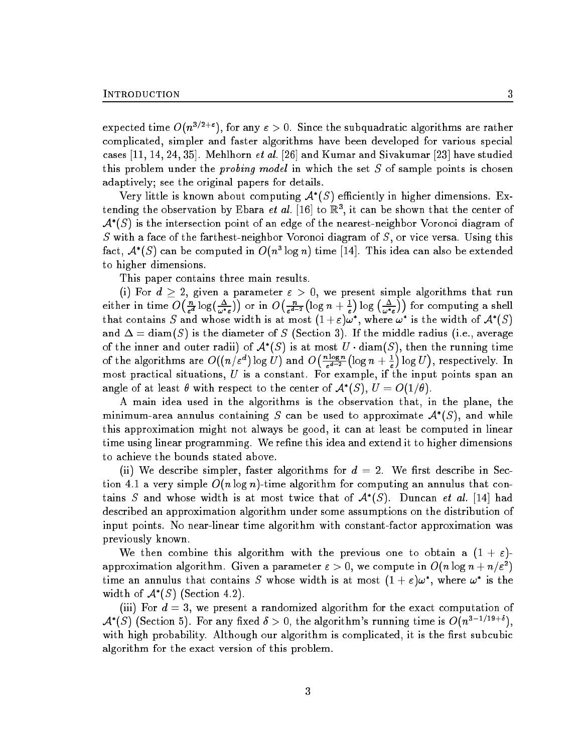expected time  $O(n^{3/2+\epsilon})$ , for any  $\epsilon > 0$ . Since the subquadratic algorithms are rather complicated, simpler and faster algorithms have been developed for various special cases  $[11, 14, 24, 35]$ . Mehlhorn *et al.*  $[26]$  and Kumar and Sivakumar  $[23]$  have studied this problem under the *probing model* in which the set  $S$  of sample points is chosen adaptively; see the original papers for details.

Very little is known about computing  $\mathcal{A}^*(S)$  efficiently in higher dimensions. Extending the observation by Ebara *et al.*  $|10|$  to  $\mathbb{R}^2$ , it can be shown that the center of  $\mathcal{A}^{*}(S)$  is the intersection point of an edge of the nearest-neighbor Voronoi diagram of S with a face of the farthest-neighbor Voronoi diagram of  $S$ , or vice versa. Using this fact,  $\mathcal{A}^{*}(S)$  can be computed in  $O(n^3\log n)$  time [14]. This idea can also be extended to higher dimensions.

This paper contains three main results.

(i) For  $d \geq 2$ , given a parameter  $\varepsilon > 0$ , we present simple algorithms that run either in time  $O\left(\frac{n}{\varepsilon^d} \log\left(\frac{\Delta}{\omega^* \varepsilon}\right)\right)$ or in  $O(\frac{n}{d})$  $\varepsilon$  "  $\left(\log n + \frac{1}{\varepsilon}\right)$  $\big) \log \big( \frac{\Delta}{\omega^* \varepsilon} \big)$  $\sim$ for computing a shell that contains S and whose width is at most  $(1+\varepsilon)\omega^*$ , where  $\omega^*$  is the width of  $\mathcal{A}^*(S)$ and  $\Delta = \text{diam}(S)$  is the diameter of S (Section 3). If the middle radius (i.e., average of the inner and outer radii) of  $\mathcal{A}^*(S)$  is at most U  $\cdot$  diam(S), then the running time of the algorithms are  $O((n/\varepsilon^d)\log U)$  and  $O\big(\frac{n\log n}{\varepsilon^{d-2}}\big)$  $\varepsilon$  "  $\left(\log n + \frac{1}{\varepsilon}\right)$  $\log U$ , respectively. In this case, we can expect the contract of  $\mathcal{A}$ most practical situations,  $U$  is a constant. For example, if the input points span an angle of at least  $\theta$  with respect to the center of  $\mathcal{A}^*(S), U = O(1/\theta).$ 

A main idea used in the algorithms is the observation that, in the plane, the minimum-area annulus containing S can be used to approximate  $\mathcal{A}^*(S)$ , and while this approximation might not always be good, it can at least be computed in linear time using linear programming. We refine this idea and extend it to higher dimensions to achieve the bounds stated above.

(ii) We describe simpler, faster algorithms for  $d = 2$ . We first describe in Section 4.1 a very simple  $O(n \log n)$ -time algorithm for computing an annulus that contains S and whose width is at most twice that of  $\mathcal{A}^*(S)$ . Duncan *et al.* [14] had described an approximation algorithm under some assumptions on the distribution of input points. No near-linear time algorithm with constant-factor approximation was previously known.

We then combine this algorithm with the previous one to obtain a  $(1 + \varepsilon)$ approximation algorithm. Given a parameter  $\varepsilon > 0$ , we compute in  $O(n\log_{}n + n/\varepsilon^2)$ time an annulus that contains S whose width is at most  $(1 + \varepsilon)\omega^*$ , where  $\omega^*$  is the width of  $\mathcal{A}^*(S)$  (Section 4.2).

(iii) For  $d = 3$ , we present a randomized algorithm for the exact computation of  $\mathcal{A}^*(S)$  (Section 5). For any fixed  $\delta > 0$ , the algorithm's running time is  $O(n^{3-1/19+\delta})$ . with high probability. Although our algorithm is complicated, it is the first subcubic algorithm for the exact version of this problem.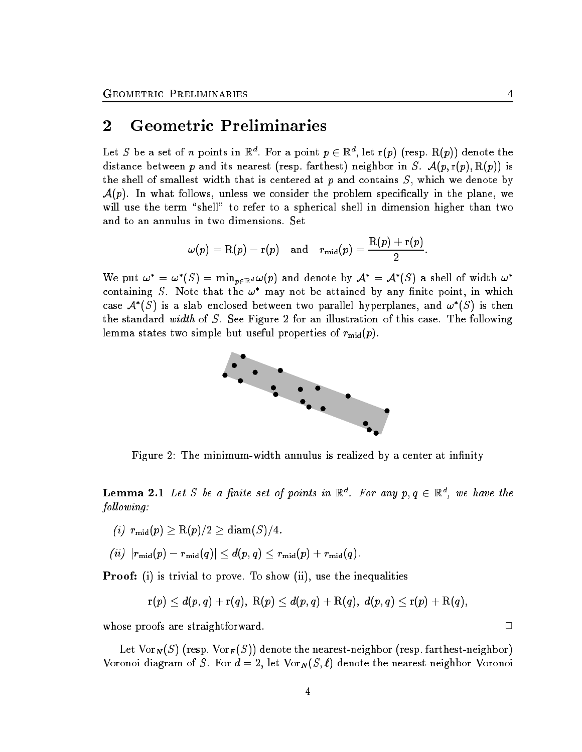### 2 Geometric Preliminaries

Let S be a set of  $n$  points in  $\mathbb{R}^d$ . For a point  $p \in \mathbb{R}^d$ , let r(p) (resp.  $\mathrm{R}(p)$ ) denote the distance between p and its nearest (resp. farthest) neighbor in S.  $\mathcal{A}(p, r(p), R(p))$  is the shell of smallest width that is centered at  $p$  and contains  $S$ , which we denote by  $\mathcal{A}(p)$ . In what follows, unless we consider the problem specifically in the plane, we will use the term "shell" to refer to a spherical shell in dimension higher than two and to an annulus in two dimensions. Set

$$
\omega(p) = \mathrm{R}(p) - \mathrm{r}(p) \quad \text{and} \quad r_{\mathrm{mid}}(p) = \frac{\mathrm{R}(p) + \mathrm{r}(p)}{2}.
$$

We put  $\omega^* = \omega^*(S) = \min_{p \in \mathbb{R}^d} \omega(p)$  and denote by  $\mathcal{A}^* = \mathcal{A}^*(S)$  a shell of width  $\omega^*$ containing S. Note that the  $\omega^*$  may not be attained by any finite point, in which case  $\mathcal{A}^*(S)$  is a slab enclosed between two parallel hyperplanes, and  $\omega^*(S)$  is then the standard *width* of S. See Figure 2 for an illustration of this case. The following lemma states two simple but useful properties of  $r_{mid}(p)$ .



Figure 2: The minimum-width annulus is realized by a center at infinity

**Lemma 2.1** Let S be a finite set of points in  $\mathbb{R}^d$ . For any  $p, q \in \mathbb{R}^d$ , we have the fol lowing:

 $(i)$   $r_{\text{mid}}(p) \geq R(p)/2 \geq \text{diam}(S)/4.$ 

$$
(ii)\ \left|r_{\text{mid}}(p) - r_{\text{mid}}(q)\right| \leq d(p,q) \leq r_{\text{mid}}(p) + r_{\text{mid}}(q).
$$

Proof: (i) is trivial to prove. To show (ii), use the inequalities

$$
\mathrm{r}(p)\leq d(p,q)+\mathrm{r}(q),\ \mathrm{R}(p)\leq d(p,q)+\mathrm{R}(q),\ d(p,q)\leq \mathrm{r}(p)+\mathrm{R}(q),
$$

whose proofs are straightforward.  $\Box$ 

Let  $\text{Vor}_N(S)$  (resp.  $\text{Vor}_F(S)$ ) denote the nearest-neighbor (resp. farthest-neighbor) Voronoi diagram of S. For  $d = 2$ , let  $\text{Vor}_N(S, \ell)$  denote the nearest-neighbor Voronoi

4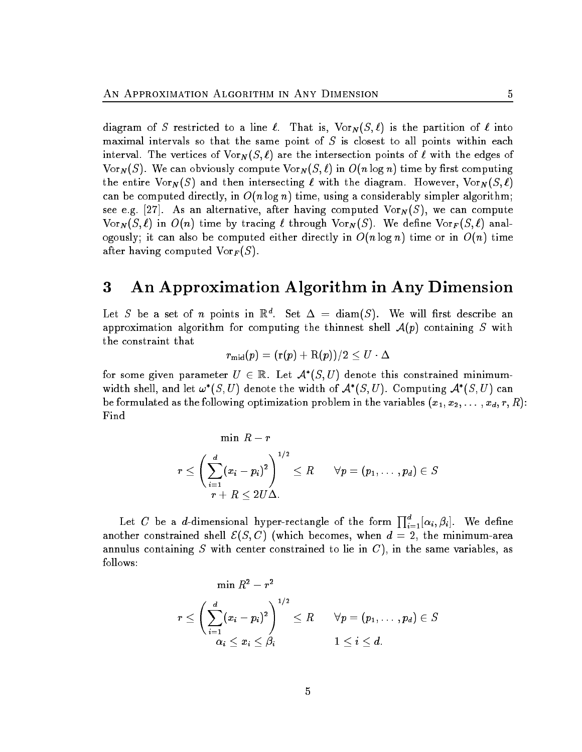diagram of S restricted to a line  $\ell$ . That is,  $\text{Vor}_N (S, \ell)$  is the partition of  $\ell$  into maximal intervals so that the same point of  $S$  is closest to all points within each interval. The vertices of  $\text{Vor}_N(S, \ell)$  are the intersection points of  $\ell$  with the edges of Vor<sub>N</sub> $(S)$ . We can obviously compute Vor<sub>N</sub> $(S, \ell)$  in  $O(n \log n)$  time by first computing the entire Vor $_N(S)$  and then intersecting  $\ell$  with the diagram. However, Vor $_N(S, \ell)$ can be computed directly, in  $O(n \log n)$  time, using a considerably simpler algorithm; see e.g. [27]. As an alternative, after having computed  $\text{Vor}_N(S)$ , we can compute  $\text{Vor}_N(S, \ell)$  in  $O(n)$  time by tracing  $\ell$  through  $\text{Vor}_N(S)$ . We define  $\text{Vor}_F(S, \ell)$  analogously; it can also be computed either directly in  $O(n \log n)$  time or in  $O(n)$  time after having computed  $\text{Vor}_F(S)$ .

#### 3 An Approximation Algorithm in Any Dimension 3

Let S be a set of n points in  $\mathbb{R}^d$ . Set  $\Delta = \text{diam}(S)$ . We will first describe an approximation algorithm for computing the thinnest shell  $\mathcal{A}(p)$  containing S with the constraint that

$$
r_{\rm mid}(p) = ({\rm r}(p) + {\rm R}(p))/2 \leq U \cdot \Delta
$$

for some given parameter  $U\,\in\,\mathbb{R}_+$  Let  $\mathcal{A}^{*}(S,U)$  denote this constrained minimumwidth shell, and let  $\omega^*(S,U)$  denote the width of  $\mathcal{A}^*(S,U)$ . Computing  $\mathcal{A}^*(S,U)$  can be formulated as the following optimization problem in the variables  $(x_1, x_2, \ldots, x_d, r, R)$ : Find

$$
\min \ R-r \\ \\ r \leq \left( \sum_{i=1}^d (x_i - p_i)^2 \right)^{1/2} \leq R \qquad \forall p = (p_1, \ldots, p_d) \in S \\ \\ r+R \leq 2U\Delta.
$$

Let C be a d-dimensional hyper-rectangle of the form  $\prod_{i=1}^{d} [\alpha_i, \beta_i]$ . We define another constrained shell  $\mathcal{E}(S, C)$  (which becomes, when  $d = 2$ , the minimum-area annulus containing S with center constrained to lie in  $C$ ), in the same variables, as follows:

$$
\min R^2 - r^2
$$
\n
$$
r \le \left(\sum_{i=1}^d (x_i - p_i)^2\right)^{1/2} \le R \qquad \forall p = (p_1, \dots, p_d) \in S
$$
\n
$$
\alpha_i \le x_i \le \beta_i \qquad \qquad 1 \le i \le d.
$$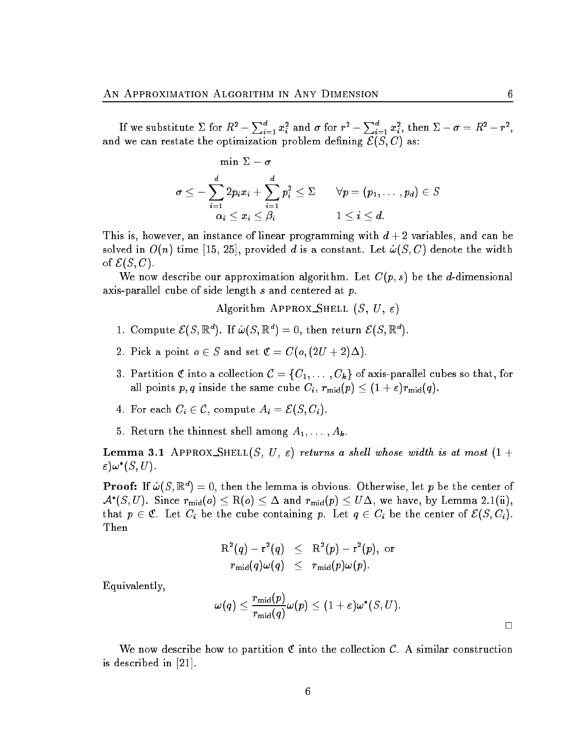If we substitute  $\Sigma$  for  $R^2-\sum_{i=1}^dx_i^2$  and  $\sigma$  for  $r^2-\sum_{i=1}^dx_i^2,$  then  $\Sigma-\sigma=R^2-r^2,$ and we can restate the optimization problem defining  $\mathcal{E}(S, C)$  as:

$$
\min \limits \Sigma - \sigma \newline \sigma \leq - \sum_{i=1}^{d} 2p_{i}x_{i} + \sum_{i=1}^{d} p_{i}^{2} \leq \Sigma \qquad \forall p = (p_{1}, \ldots, p_{d}) \in S \newline \alpha_{i} \leq x_{i} \leq \beta_{i} \qquad \qquad 1 \leq i \leq d.
$$

This is, however, an instance of linear programming with  $d+2$  variables, and can be solved in  $O(n)$  time [15, 25], provided  $d$  is a constant. Let  $\hat{\omega}(S, C)$  denote the width of  $\mathcal{E}(S, C)$ .

We now describe our approximation algorithm. Let  $C(p, s)$  be the d-dimensional axis-parallel cube of side length  $s$  and centered at  $p$ .

Algorithm APPROX SHELL  $(S, U, \varepsilon)$ 

- 1. Compute  $\mathcal{E}(S, \mathbb{R}^d)$ . If  $\hat{\omega}(S, \mathbb{R}^d) = 0$ , then return  $\mathcal{E}(S, \mathbb{R}^d)$ .
- 2. Pick a point  $o \in S$  and set  $\mathfrak{C} = C(o, (2U + 2)\Delta)$ .
- 3. Partition C into a collection  $C = \{C_1, \ldots, C_k\}$  of axis-parallel cubes so that, for all points p, q inside the same cube  $C_i$ ,  $r_{\text{mid}}(p) \leq (1 + \varepsilon)r_{\text{mid}}(q)$ .
- 4. For each  $C_i \in \mathcal{C}$ , compute  $A_i = \mathcal{E}(S, C_i)$ .
- 5. Return the thinnest shell among  $A_1, \ldots, A_k$ .

**Lemma 3.1** APPROX\_SHELL $(S, U, \varepsilon)$  returns a shell whose width is at most  $(1 +$  $\varepsilon) \omega^* (S, U).$ 

 $\mathbf{Proof}\text{: If }\hat{\omega}(S,\mathbb{R}^d)=0, \text{ then the lemma is obvious. Otherwise, let }p \text{ be the center of }$  $\mathcal{A}^*(S,U)$ . Since  $r_{\rm mid}(o) \leq {\rm R}(o) \leq \Delta$  and  $r_{\rm mid}(p) \leq U\Delta$ , we have, by Lemma 2.1(ii), that  $p \in \mathfrak{C}$ . Let  $C_i$  be the cube containing p. Let  $q \in C_i$  be the center of  $\mathcal{E}(S, C_i)$ . Then

$$
\begin{array}{rcl} \mathrm{R}^2(q) - \mathrm{r}^2(q) & \leq & \mathrm{R}^2(p) - \mathrm{r}^2(p), \,\, \mathrm{or} \\ r_\mathrm{mid}(q) \omega(q) & \leq & r_\mathrm{mid}(p) \omega(p). \end{array}
$$

Equivalently,

$$
\omega(q)\leq \frac{r_{\text{mid}}(p)}{r_{\text{mid}}(q)}\omega(p)\leq (1+\varepsilon)\omega^*(S,U).
$$

We now describe how to partition  $\mathfrak C$  into the collection  $\mathcal C$ . A similar construction is described in [21].

 $\Box$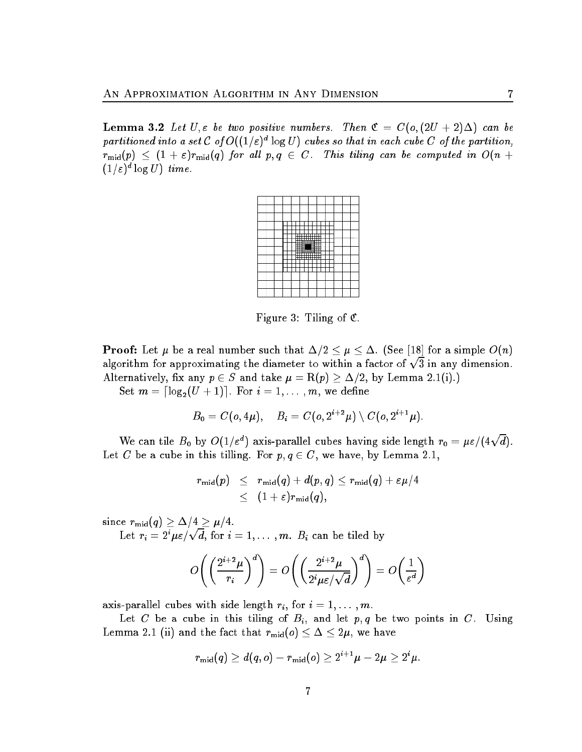**Lemma 3.2** Let U,  $\varepsilon$  be two positive numbers. Then  $\mathfrak{C} = C(o, (2U + 2)\Delta)$  can be partitioned into a set C of  $O((1/\varepsilon)^d \log U)$  cubes so that in each cube C of the partition,  $r_{\text{mid}}(p) \leq (1 + \varepsilon)r_{\text{mid}}(q)$  for all  $p, q \in C$ . This tiling can be computed in  $O(n + \varepsilon)$  $(1/\varepsilon)^d \log U$ ) time.



Figure 3: Tiling of  $\mathfrak{C}$ .

**Proof:** Let  $\mu$  be a real number such that  $\Delta/2 \leq \mu \leq \Delta$ . (See [18] for a simple  $O(n)$ algorithm for approximating the diameter to within a factor of  $\sqrt{3}$  in any dimension. Alternatively, fix any  $p \in S$  and take  $\mu = R(p) \geq \Delta/2$ , by Lemma 2.1(i).)

Set  $m = \lceil \log_2(U + 1) \rceil$ . For  $i = 1, \ldots, m$ , we define

$$
B_0=C(o,4\mu),\quad B_i=C(o,2^{i+2}\mu)\setminus C(o,2^{i+1}\mu).
$$

We can tile  $B_0$  by  $O(1/\varepsilon^d)$  axis-parallel cubes having side length  $r_0 = \mu \varepsilon/(4\sqrt{d})$ . Let C be a cube in this tilling. For  $p, q \in C$ , we have, by Lemma 2.1,

$$
\begin{array}{lcl} r_{\operatorname{mid}}(p) & \leq & r_{\operatorname{mid}}(q)+d(p,q) \leq r_{\operatorname{mid}}(q)+\varepsilon\mu/4 \\ & \leq & (1+\varepsilon)r_{\operatorname{mid}}(q), \end{array}
$$

since  $r_{\text{mid}}(q) \geq \Delta/4 \geq \mu/4$ .

Let  $r_i = 2^i \mu \varepsilon / \sqrt{d}$ , for  $i = 1, \ldots, m$ .  $B_i$  can be tiled by

$$
O\left(\left(\frac{2^{i+2}\mu}{r_i}\right)^d\right) = O\left(\left(\frac{2^{i+2}\mu}{2^i\mu\varepsilon/\sqrt{d}}\right)^d\right) = O\left(\frac{1}{\varepsilon^d}\right)
$$

axis-parallel cubes with side length  $r_i$ , for  $i = 1, \ldots, m$ .

Let C be a cube in this tiling of  $B_i$ , and let  $p, q$  be two points in C. Using Lemma 2.1 (ii) and the fact that  $r_{mid}(o) \leq \Delta \leq 2\mu$ , we have

$$
r_{\text{mid}}(q) \geq d(q,o) - r_{\text{mid}}(o) \geq 2^{i+1}\mu - 2\mu \geq 2^i\mu.
$$

7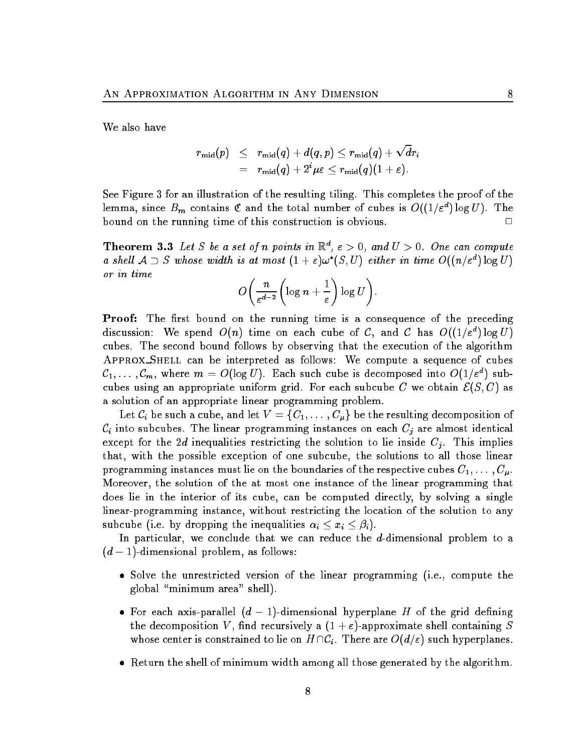We also have

$$
\begin{array}{rcl} r_{\operatorname{mid}}(p) & \leq & r_{\operatorname{mid}}(q)+d(q,p) \leq r_{\operatorname{mid}}(q)+\sqrt{d}r_i \\ \\ & = & r_{\operatorname{mid}}(q)+2^i\mu\varepsilon \leq r_{\operatorname{mid}}(q)(1+\varepsilon).\end{array}
$$

See Figure 3 for an illustration of the resulting tiling. This completes the proof of the lemma, since  $B_m$  contains  ${\mathfrak C}$  and the total number of cubes is  $O((1/\varepsilon^d)\log U).$  The bound on the running time of this construction is obvious. <sup>2</sup>  $\Box$ 

**Theorem 3.3** Let S be a set of n points in  $\mathbb{R}^d$ ,  $\varepsilon > 0$ , and  $U > 0$ . One can compute a shell  $A \supset S$  whose width is at most  $(1+\varepsilon)\omega^*(S,U)$  either in time  $O((n/\varepsilon^d) \log U)$ 

$$
O\bigg(\frac{n}{\varepsilon^{d-2}}\bigg(\log n+\frac{1}{\varepsilon}\bigg)\log U\bigg).
$$

**Proof:** The first bound on the running time is a consequence of the preceding discussion: We spend  $O(n)$  time on each cube of C, and C has  $O((1/\varepsilon^d)\log U)$ cubes. The second bound follows by observing that the execution of the algorithm Approx Shell can be interpreted as follows: We compute <sup>a</sup> sequence of cubes  ${\cal C}_1,\ldots\, ,{\cal C}_m,$  where  $m\,=\,O(\log U).$  Each such cube is decomposed into  $O(1/\varepsilon^d)$  subcubes using an appropriate uniform grid. For each subcube C we obtain  $\mathcal{E}(S, C)$  as a solution of an appropriate linear programming problem.

Let  $\mathcal{C}_i$  be such a cube, and let  $V = \{C_1, \ldots, C_{\mu}\}\$ be the resulting decomposition of  $C_i$  into subcubes. The linear programming instances on each  $C_j$  are almost identical except for the 2d inequalities restricting the solution to lie inside  $C_j$ . This implies that, with the possible exception of one subcube, the solutions to all those linear programming instances must lie on the boundaries of the respective cubes  $C_1, \ldots, C_{\mu}$ . Moreover, the solution of the at most one instance of the linear programming that does lie in the interior of its cube, can be computed directly, by solving a single linear-programming instance, without restricting the location of the solution to any subcube (i.e. by dropping the inequalities  $\alpha_i \leq x_i \leq \beta_i$ ).

In particular, we conclude that we can reduce the d-dimensional problem to a  $(d-1)$ -dimensional problem, as follows:

- Solve the unrestricted version of the linear programming (i.e., compute the global \minimum area" shell).
- For each axis-parallel  $(d-1)$ -dimensional hyperplane H of the grid defining the decomposition V, find recursively a  $(1 + \varepsilon)$ -approximate shell containing S whose center is constrained to lie on  $H \cap C_i$ . There are  $O(d/\varepsilon)$  such hyperplanes.
- Return the shell of minimum width among all those generated by the algorithm.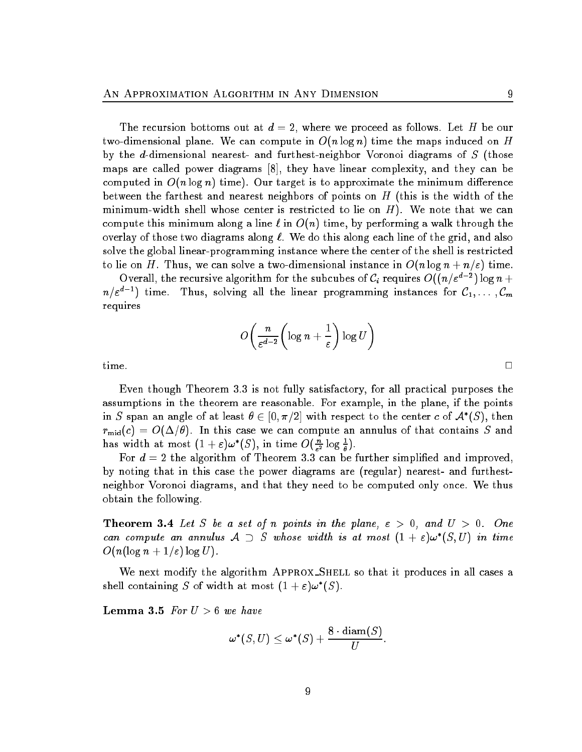The recursion bottoms out at  $d = 2$ , where we proceed as follows. Let H be our two-dimensional plane. We can compute in  $O(n \log n)$  time the maps induced on H by the d-dimensional nearest- and furthest-neighbor Voronoi diagrams of S (those maps are called power diagrams [8], they have linear complexity, and they can be computed in  $O(n \log n)$  time). Our target is to approximate the minimum difference between the farthest and nearest neighbors of points on  $H$  (this is the width of the minimum-width shell whose center is restricted to lie on  $H$ ). We note that we can compute this minimum along a line  $\ell$  in  $O(n)$  time, by performing a walk through the overlay of those two diagrams along  $\ell$ . We do this along each line of the grid, and also solve the global linear-programming instance where the center of the shell is restricted to lie on H. Thus, we can solve a two-dimensional instance in  $O(n \log n + n/\varepsilon)$  time.

Overall, the recursive algorithm for the subcubes of  $C_i$  requires  $O((n/\varepsilon^{d-2})\log n +$  $n/\varepsilon^{d-1})$  time. Thus, solving all the linear programming instances for  ${\cal C}_1,\ldots\, {\cal C}_m$ requires

$$
O\!\left(\frac{n}{\varepsilon^{d-2}}\!\left(\log n+\frac{1}{\varepsilon}\right)\log U\right)
$$

Even though Theorem 3.3 is not fully satisfactory, for all practical purposes the assumptions in the theorem are reasonable. For example, in the plane, if the points in  $S$  span an angle of at least  $\theta \in [0, \pi/2]$  with respect to the center  $c$  of  $\mathcal{A}^*(S),$  then  $r_{\rm mid}(c) = O(\Delta/\theta)$ . In this case we can compute an annulus of that contains S and has width at most  $(1 + \varepsilon)\omega^*(S)$ , in time  $O(\frac{n}{\varepsilon^2} \log \frac{1}{\theta})$ .

For  $d = 2$  the algorithm of Theorem 3.3 can be further simplified and improved, by noting that in this case the power diagrams are (regular) nearest- and furthestneighbor Voronoi diagrams, and that they need to be computed only once. We thus obtain the following.

**Theorem 3.4** Let S be a set of n points in the plane,  $\epsilon > 0$ , and  $U > 0$ . One can compute an annulus  $A \supset S$  whose width is at most  $(1 + \varepsilon) \omega^*(S, U)$  in time  $O(n(\log n + 1/\varepsilon) \log U)$ .

We next modify the algorithm APPROX\_SHELL so that it produces in all cases a shell containing S of width at most  $(1 + \varepsilon)\omega^*(S)$ .

Lemma 3.5 For  $U > 6$  we have

$$
\boldsymbol{\omega}^{\boldsymbol{*}}(S,U) \leq \boldsymbol{\omega}^{\boldsymbol{*}}(S) + \frac{8 \cdot \operatorname{diam}(S)}{U}.
$$

 $\Box$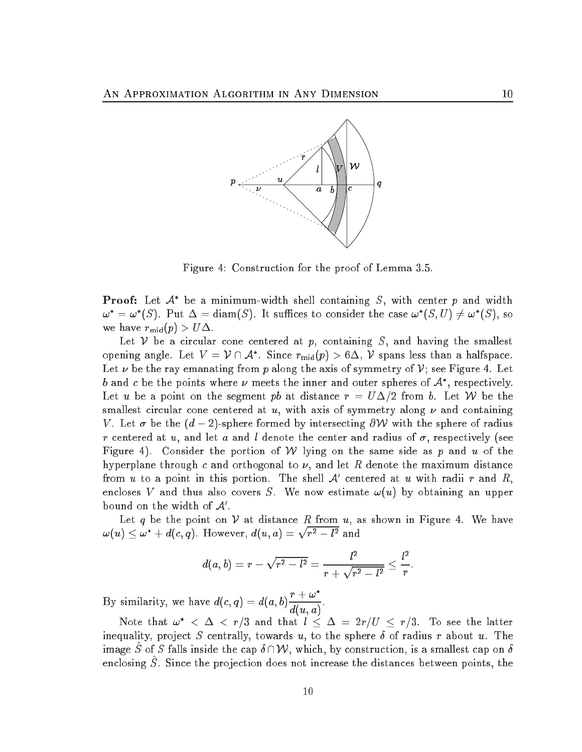

Figure 4: Construction for the proof of Lemma 3.5.

**Proof:** Let  $\mathcal{A}^*$  be a minimum-width shell containing S, with center p and width  $\omega^* = \omega^*(S)$ . Put  $\Delta = \text{diam}(S)$ . It suffices to consider the case  $\omega^*(S, U) \neq \omega^*(S)$ , so we have  $r_{\text{mid}}(p) > U\Delta$ .

Let V be a circular cone centered at p, containing S, and having the smallest opening angle. Let  $V = \mathcal{V} \cap \mathcal{A}^*$ . Since  $r_{mid}(p) > 6\Delta$ , V spans less than a halfspace. Let  $\nu$  be the ray emanating from p along the axis of symmetry of V; see Figure 4. Let b and c be the points where  $\nu$  meets the inner and outer spheres of  $\mathcal{A}^*$ , respectively. Let u be a point on the segment pb at distance  $r = U\Delta/2$  from b. Let W be the smallest circular cone centered at u, with axis of symmetry along  $\nu$  and containing V. Let  $\sigma$  be the  $(d - 2)$ -sphere formed by intersecting  $\partial W$  with the sphere of radius r centered at u, and let a and l denote the center and radius of  $\sigma$ , respectively (see Figure 4). Consider the portion of W lying on the same side as p and u of the hyperplane through c and orthogonal to  $\nu$ , and let R denote the maximum distance from u to a point in this portion. The shell  $\mathcal{A}'$  centered at u with radii r and R, encloses V and thus also covers S. We now estimate  $\omega(u)$  by obtaining an upper bound on the width of  $A$ .

Let q be the point on  $V$  at distance R from  $u$ , as shown in Figure 4. We have  $\omega(u)\leq \omega^*+d(c,q).$  However,  $d(u,a)=\sqrt{r^2-l^2}$  and

$$
d(a,b)=r-\sqrt{r^2-l^2}=\frac{l^2}{r+\sqrt{r^2-l^2}}\leq \frac{l^2}{r}
$$

:

By similarity, we have  $d(c, q) = d(a, b) \frac{r + \omega^2}{r}$  $d(u,a)^{\frac{1}{2}}$ 

Note that  $\omega^* < \Delta < r/3$  and that  $l \leq \Delta = 2r/U \leq r/3$ . To see the latter inequality, project S centrally, towards u, to the sphere  $\delta$  of radius r about u. The image S of S falls inside the cap  $\delta \cap \mathcal{W}$ , which, by construction, is a smallest cap on  $\delta$ enclosing  $S$ . Since the projection does not increase the distances between points, the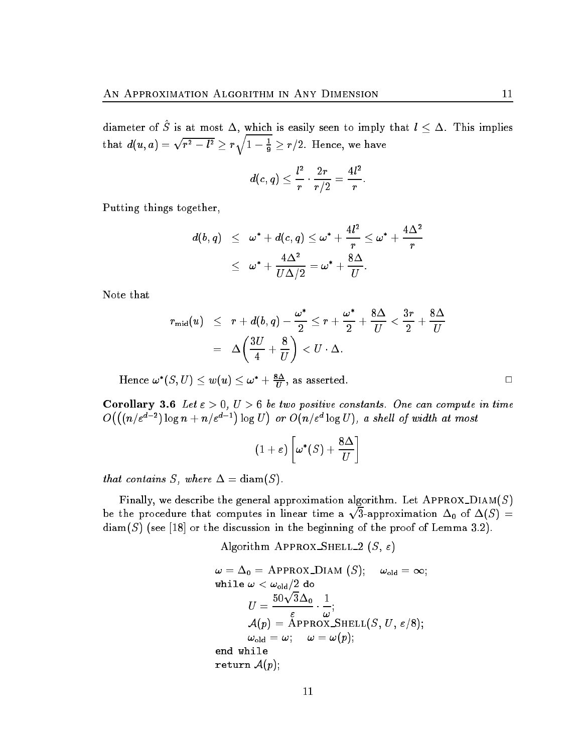diameter of S is at most  $\Delta$ , which is easily seen to imply that  $l \leq \Delta$ . This implies that  $d(u,a) = \sqrt{r^2 - l^2} \ge r \sqrt{1 - \frac{1}{9}} \ge r/2.$  Hence, we have

$$
d(c,q)\leq \frac{l^2}{r}\cdot \frac{2r}{r/2}=\frac{4l^2}{r}
$$

:

Putting things together,

$$
\begin{array}{lcl} d(b,q) & \leq & \omega^* + d(c,q) \leq \omega^* + \dfrac{4l^2}{r} \leq \omega^* + \dfrac{4\Delta^2}{r} \\ \\ & \leq & \omega^* + \dfrac{4\Delta^2}{U\Delta/2} = \omega^* + \dfrac{8\Delta}{U}. \end{array}
$$

Note that

$$
\begin{array}{lcl} r_{\operatorname{mid}}(u) & \leq & r + d(b,q) - \dfrac{\omega^{*}}{2} \leq r + \dfrac{\omega^{*}}{2} + \dfrac{8\Delta}{U} < \dfrac{3r}{2} + \dfrac{8\Delta}{U} \\ \\ & = & \Delta \bigg( \dfrac{3U}{4} + \dfrac{8}{U} \bigg) < U \cdot \Delta. \end{array}
$$

Hence  $\omega^*(S,U) \leq w(u) \leq \omega^* + \frac{s\Delta}{U},$  as asserted.

Corollary 3.6 Let  $\varepsilon > 0$ ,  $U > 6$  be two positive constants. One can compute in time  $O\bigl( \bigl( (n/\varepsilon^{d-2})\log n + n/\varepsilon^{d-1}\bigr)\log U\bigr)$ or  $O(n/\varepsilon^d \log U)$ , a shell of width at most

$$
(1+\varepsilon)\left[\omega^*(S)+\frac{8\Delta}{U}\right]
$$

that contains S, where  $\Delta = \text{diam}(S)$ .

Finally, we describe the general approximation algorithm. Let  $APPROX_DIAM(S)$ be the procedure that computes in linear time and time and time and time and time and time and time and time a provide a state of the state of the 3-approximation  $\Delta_0$  of  $\Delta(S)$  =  $diam(S)$  (see [18] or the discussion in the beginning of the proof of Lemma 3.2).

Algorithm APPROX SHELL 2 (S,  $\varepsilon$ )

$$
\omega = \Delta_0 = \text{APPROX} \text{DIAM (S)}; \quad \omega_{\text{old}} = \infty;
$$
\n
$$
\text{while } \omega < \omega_{\text{old}}/2 \text{ do}
$$
\n
$$
U = \frac{50\sqrt{3}\Delta_0}{\varepsilon} \cdot \frac{1}{\omega};
$$
\n
$$
\mathcal{A}(p) = \text{APPROX\_SHEL}(S, U, \varepsilon/8);
$$
\n
$$
\omega_{\text{old}} = \omega; \quad \omega = \omega(p);
$$
\n
$$
\text{end while}
$$
\n
$$
\text{return } \mathcal{A}(p);
$$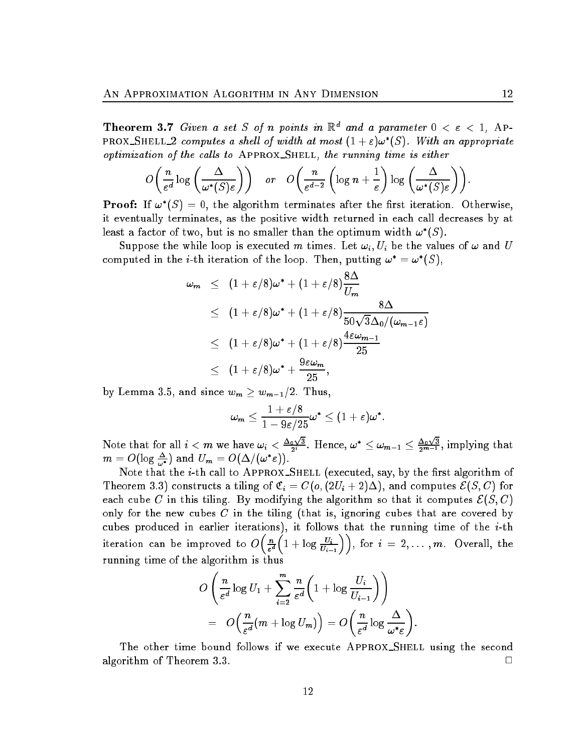**Theorem 3.7** Given a set S of n points in  $\mathbb{R}^d$  and a parameter  $0 < \varepsilon < 1$ , Ap-PROX\_SHELL\_2 computes a shell of width at most  $(1+\varepsilon)\omega^*(S)$ . With an appropriate optimization of the cal ls to Approx Shell, the running time is either

$$
O\left(\frac{n}{\varepsilon^d}\log\left(\frac{\Delta}{\omega^*(S)\varepsilon}\right)\right) \quad \text{or} \quad O\left(\frac{n}{\varepsilon^{d-2}}\left(\log n+\frac{1}{\varepsilon}\right)\log\left(\frac{\Delta}{\omega^*(S)\varepsilon}\right)\right).
$$

**Proof:** If  $\omega^*(S) = 0$ , the algorithm terminates after the first iteration. Otherwise, it eventually terminates, as the positive width returned in each call decreases by at least a factor of two, but is no smaller than the optimum width  $\omega^*(S)$ .

Suppose the while loop is executed m times. Let  $\omega_i, U_i$  be the values of  $\omega$  and U computed in the *i*-th iteration of the loop. Then, putting  $\omega^* = \omega^*(S)$ .

$$
\begin{array}{lcl} \omega_m & \leq & \displaystyle (1+\varepsilon/8)\omega^* + \displaystyle (1+\varepsilon/8)\frac{8\Delta}{U_m} \\ \\ & \leq & \displaystyle (1+\varepsilon/8)\omega^* + \displaystyle (1+\varepsilon/8)\frac{8\Delta}{50\sqrt{3}\Delta_0/(\omega_{m-1}\varepsilon)} \\ \\ & \leq & \displaystyle (1+\varepsilon/8)\omega^* + \displaystyle (1+\varepsilon/8)\frac{4\varepsilon\omega_{m-1}}{25} \\ \\ & \leq & \displaystyle (1+\varepsilon/8)\omega^* + \frac{9\varepsilon\omega_m}{25}, \end{array}
$$

by Lemma 3.5, and since  $w_m \geq w_{m-1}/2$ . Thus,

 $\overline{\phantom{a}}$ 

$$
\omega_m \leq \frac{1+\varepsilon/8}{1-9\varepsilon/25} \omega^* \leq (1+\varepsilon)\omega^*.
$$

Note that for all  $i < m$  we have  $\omega_i < \frac{\Delta_0 \sqrt{3}}{2^i}$ . Hence,  $\omega^* \leq \omega_{m-1} \leq \frac{\Delta_0 \sqrt{3}}{2^{m-1}},$  implying that  $m = O(\log \tfrac{\Delta}{\omega^*}) \,\,\text{and}\,\, U_m = O(\Delta/(\omega^* \varepsilon)).$ 

Note that the  $i$ -th call to APPROX\_SHELL (executed, say, by the first algorithm of Theorem 3.3) constructs a tiling of  $\mathfrak{C}_i = C(o,(2U_i+2)\Delta)$ , and computes  $\mathcal{E}(S,C)$  for each cube C in this tiling. By modifying the algorithm so that it computes  $\mathcal{E}(S, C)$ only for the new cubes  $C$  in the tiling (that is, ignoring cubes that are covered by cubes produced in earlier iterations), it follows that the running time of the  $i$ -th iteration can be improved to  $O\left(\frac{n}{\epsilon}\right)$  $\varepsilon$  "  $\left(1+\log\frac{U_i}{U_{i-1}}\right)\right)$ , for  $i=2,\ldots,m$ . Overall, the running time of the algorithm is thus

$$
O\left(\frac{n}{\varepsilon^d}\log U_1 + \sum_{i=2}^m \frac{n}{\varepsilon^d} \left(1 + \log \frac{U_i}{U_{i-1}}\right)\right)
$$
  
= 
$$
O\left(\frac{n}{\varepsilon^d}(m + \log U_m)\right) = O\left(\frac{n}{\varepsilon^d}\log \frac{\Delta}{\omega^*\varepsilon}\right)
$$

The other time bound follows if we execute APPROX\_SHELL using the second algorithm of Theorem 3.3.  $\Box$ 

: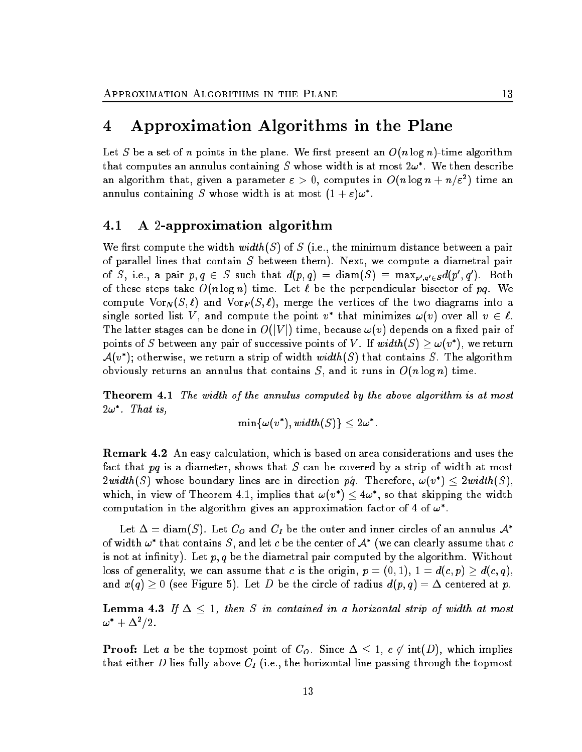## 4 Approximation Algorithms in the Plane

Let S be a set of n points in the plane. We first present an  $O(n \log n)$ -time algorithm that computes an annulus containing S whose width is at most  $2\omega^*$ . We then describe an algorithm that, given a parameter  $\varepsilon > 0,$  computes in  $O(n\log n + n/\varepsilon^2)$  time an annulus containing S whose width is at most  $(1+\varepsilon)\omega^*$ .

#### 4.1 A 2-approximation algorithm

We first compute the width width(S) of S (i.e., the minimum distance between a pair of parallel lines that contain  $S$  between them). Next, we compute a diametral pair of S, i.e., a pair  $p,q\,\in\, S$  such that  $d(p,q)\,=\, {\rm diam}(S)\,\equiv\,\max_{p',q'\in S}d(p',q').$  Both of these steps take  $O(n \log n)$  time. Let  $\ell$  be the perpendicular bisector of pq. We compute  $\text{Vor}_N(S, \ell)$  and  $\text{Vor}_F(S, \ell)$ , merge the vertices of the two diagrams into a single sorted list V, and compute the point  $v^*$  that minimizes  $\omega(v)$  over all  $v \in \ell$ . The latter stages can be done in  $O(|V|)$  time, because  $\omega(v)$  depends on a fixed pair of points of S between any pair of successive points of V. If  $width(S) > \omega(v^*)$ , we return  $\mathcal{A}(v^*)$ ; otherwise, we return a strip of width  $width(S)$  that contains S. The algorithm obviously returns an annulus that contains S, and it runs in  $O(n \log n)$  time.

Theorem 4.1 The width of the annulus computed by the above algorithm is at most  $2\omega$  Inatis,

$$
\min\{\omega(v^*), width(S)\} \leq 2\omega^*.
$$

Remark 4.2 An easy calculation, which is based on area considerations and uses the fact that  $pq$  is a diameter, shows that S can be covered by a strip of width at most  $2\mathit{width}(S)$  whose boundary lines are in direction  $\vec{pq}$ . Therefore,  $\omega(v^*) \leq 2\mathit{width}(S),$ which, in view of Theorem 4.1, implies that  $\omega(v_{\perp}) \leq 4\omega$  , so that skipping the width computation in the algorithm gives an approximation factor of 4 of  $\omega$  .

Let  $\Delta = \text{diam}(S)$ . Let  $C_O$  and  $C_I$  be the outer and inner circles of an annulus  $\mathcal{A}^*$ of width  $\omega^*$  that contains S, and let c be the center of  $\mathcal{A}^*$  (we can clearly assume that c is not at infinity). Let  $p, q$  be the diametral pair computed by the algorithm. Without loss of generality, we can assume that c is the origin,  $p = (0, 1), 1 = d(c, p) \geq d(c, q),$ and  $x(q) \geq 0$  (see Figure 5). Let D be the circle of radius  $d(p, q) = \Delta$  centered at p.

**Lemma 4.3** If  $\Delta \leq 1$ , then S in contained in a horizontal strip of width at most  $\omega^* + \Delta^2/2$  .

**Proof:** Let a be the topmost point of  $C_0$ . Since  $\Delta \leq 1$ ,  $c \notin \text{int}(D)$ , which implies that either D lies fully above  $C_I$  (i.e., the horizontal line passing through the topmost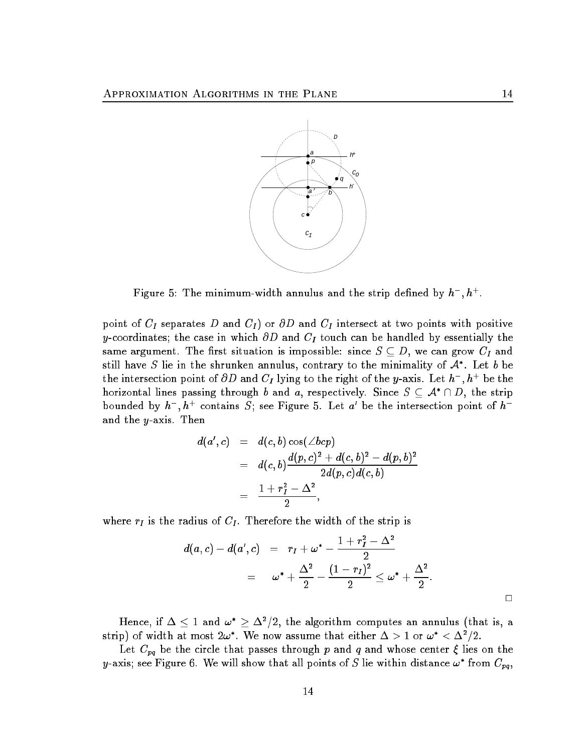

Figure 5: The minimum-width annulus and the strip defined by  $h^-, h^+.$ 

point of  $C_I$  separates D and  $C_I$ ) or  $\partial D$  and  $C_I$  intersect at two points with positive y-coordinates; the case in which  $\partial D$  and  $C_I$  touch can be handled by essentially the same argument. The first situation is impossible: since  $S \subseteq D$ , we can grow  $C_I$  and still have S lie in the shrunken annulus, contrary to the minimality of  $\mathcal{A}^*$ . Let  $b$  be the intersection point of  $\partial D$  and  $C_I$  lying to the right of the y-axis. Let  $h^- , h^+$  be the horizontal lines passing through b and a, respectively. Since  $S \subseteq A^* \cap D$ , the strip bounded by  $h^-, h^+$  contains S; see Figure 5. Let a' be the intersection point of  $h^$ and the y-axis. Then

$$
d(a',c) = d(c,b)\cos(\angle bcp)
$$
  
=  $d(c,b)\frac{d(p,c)^2 + d(c,b)^2 - d(p,b)^2}{2d(p,c)d(c,b)}$   
=  $\frac{1 + r_I^2 - \Delta^2}{2}$ ,

where  $r_I$  is the radius of  $C_I$ . Therefore the width of the strip is

$$
d(a, c) - d(a', c) = r_I + \omega^* - \frac{1 + r_I^2 - \Delta^2}{2}
$$
  
=  $\omega^* + \frac{\Delta^2}{2} - \frac{(1 - r_I)^2}{2} \leq \omega^* + \frac{\Delta^2}{2}$ 

Hence, if  $\Delta \leq 1$  and  $\omega^* \geq \Delta^2/2$ , the algorithm computes an annulus (that is, a strip) of width at most  $2\omega^*$ . We now assume that either  $\Delta > 1$  or  $\omega^* < \Delta^2/2$ .

Let  $C_{pq}$  be the circle that passes through p and q and whose center  $\xi$  lies on the y-axis; see Figure 6. We will show that all points of  $S$  lie within distance  $\omega^*$  from  $C_{pq},$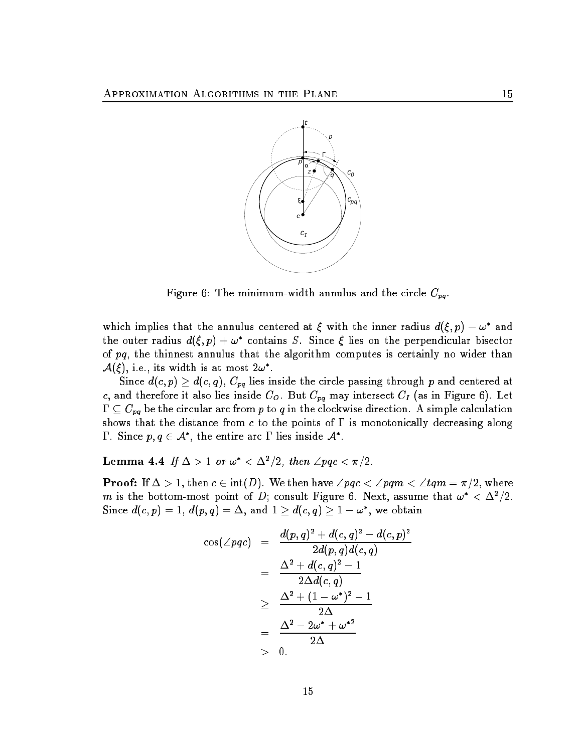

Figure 6: The minimum-width annulus and the circle  $C_{pq}$ .

which implies that the annulus centered at  $\xi$  with the inner radius  $d(\xi, p) - \omega^*$  and the outer radius  $d(\xi, p) + \omega^*$  contains S. Since  $\xi$  lies on the perpendicular bisector of pq, the thinnest annulus that the algorithm computes is certainly no wider than  $\mathcal{A}(\xi)$ , i.e., its width is at most  $2\omega^*$ .

Since  $d(c, p) \geq d(c, q)$ ,  $C_{pq}$  lies inside the circle passing through p and centered at c, and therefore it also lies inside  $C_0$ . But  $C_{pq}$  may intersect  $C_I$  (as in Figure 6). Let  $\Gamma \subseteq C_{pq}$  be the circular arc from p to q in the clockwise direction. A simple calculation shows that the distance from  $c$  to the points of  $\Gamma$  is monotonically decreasing along **1** . Since  $p,q \in \mathcal{A}$  , the entire arc 1 lies inside  $\mathcal{A}$  .

 ${\bf Lemma \ 4.4} \ \ If\ \Delta>1 \ \ or \ \omega^*<\Delta^2/2, \ then\ \angle pqc<\pi/2.$ 

**Proof:** If  $\Delta > 1$ , then  $c \in \text{int}(D)$ . We then have  $\angle pqc < \angle pqm < \angle tqm = \pi/2$ , where  $m$  is the bottom-most point of  $D;$  consult Figure 6. Next, assume that  $\omega^* < \Delta^2/2.$ Since  $d(c, p) = 1, d(p, q) = \Delta$ , and  $1 \geq d(c, q) \geq 1 - \omega^*$ , we obtain

$$
\begin{array}{rcl} \cos(\angle pqc) & = & \displaystyle \frac{d(p,q)^2 + d(c,q)^2 - d(c,p)^2}{2d(p,q)d(c,q)} \\ \\ & = & \displaystyle \frac{\Delta^2 + d(c,q)^2 - 1}{2\Delta d(c,q)} \\ \\ & \geq & \displaystyle \frac{\Delta^2 + (1-\omega^*)^2 - 1}{2\Delta} \\ \\ & = & \displaystyle \frac{\Delta^2 - 2\omega^* + \omega^{*2}}{2\Delta} \\ & > & 0. \end{array}
$$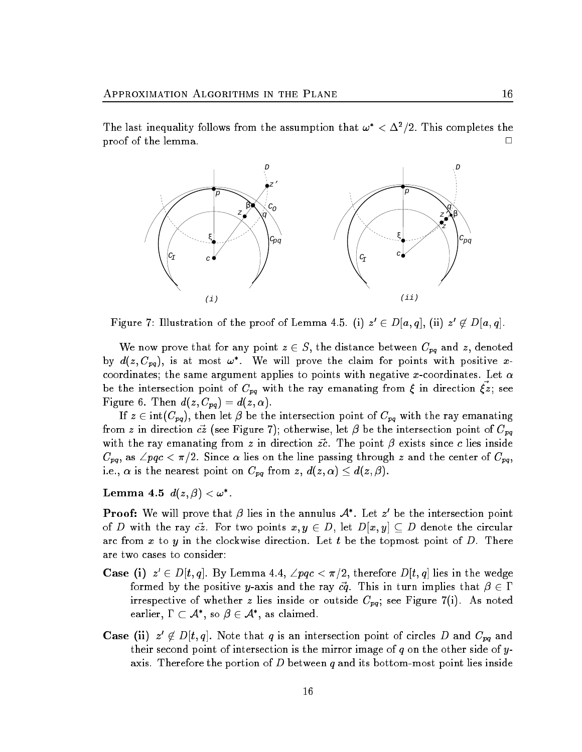proof of the lemma. <sup>2</sup>



Figure 7: Illustration of the proof of Lemma 4.5. (i)  $z' \in D|a,q|$ , (ii)  $z' \notin D|a,q|$ .

We now prove that for any point  $z \in S$ , the distance between  $C_{pq}$  and z, denoted by  $d(z, C_{pq})$ , is at most  $\omega^*$ . We will prove the claim for points with positive xcoordinates; the same argument applies to points with negative x-coordinates. Let  $\alpha$ be the intersection point of  $C_{pq}$  with the ray emanating from  $\xi$  in direction  $\vec{\xi z}$ ; see Figure 6. Then  $d(z, C_{pq}) = d(z, \alpha)$ .

If  $z \in \text{int}(C_{pq})$ , then let  $\beta$  be the intersection point of  $C_{pq}$  with the ray emanating from z in direction  $c\overline{z}$  (see Figure 7); otherwise, let  $\beta$  be the intersection point of  $C_{pq}$ with the ray emanating from z in direction  $\vec{zc}$ . The point  $\beta$  exists since c lies inside  $C_{pq}$ , as  $\angle pqc < \pi/2$ . Since  $\alpha$  lies on the line passing through z and the center of  $C_{pq}$ , i.e.,  $\alpha$  is the nearest point on  $C_{pq}$  from  $z, d(z, \alpha) \leq d(z, \beta)$ .

 ${\bf L}$ emma 4.5  $d(z,\beta) < \omega^*$  .

**Proof:** We will prove that  $\beta$  lies in the annulus  $\mathcal{A}^*$ . Let  $z'$  be the intersection point of D with the ray  $\vec{cz}$ . For two points  $x, y \in D$ , let  $D[x, y] \subseteq D$  denote the circular arc from x to y in the clockwise direction. Let t be the topmost point of  $D$ . There are two cases to consider:

- **Case (i)**  $z' \in D[t, q]$ . By Lemma 4.4,  $\angle pqc < \pi/2$ , therefore  $D[t, q]$  lies in the wedge formed by the positive y-axis and the ray  $c\vec{q}$ . This in turn implies that  $\beta \in \Gamma$ irrespective of whether z lies inside or outside  $C_{pq}$ ; see Figure 7(i). As noted earlier,  $\Gamma\subset\mathcal{A}^*,$  so  $\beta\in\mathcal{A}^*,$  as claimed.
- **Case (ii)**  $z' \notin D[t, q]$ . Note that q is an intersection point of circles D and  $C_{pq}$  and their second point of intersection is the mirror image of  $q$  on the other side of  $y$ axis. Therefore the portion of D between q and its bottom-most point lies inside

 $\Box$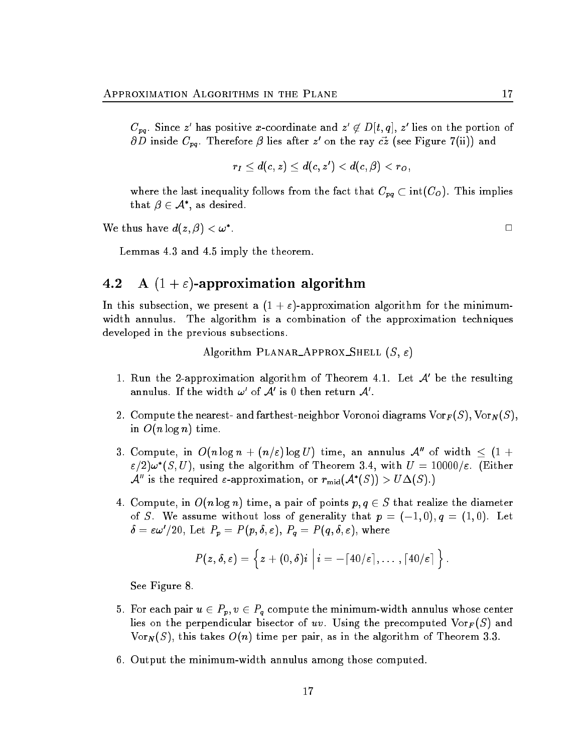$C_{\bm p\bm q}.$  Since  $z'$  has positive  $x$ -coordinate and  $z'\not\in D[t,q],$   $z'$  lies on the portion of  $\partial D$  inside  $C_{pq}$ . Therefore  $\beta$  lies after  $z'$  on the ray  $c\overline{z}$  (see Figure 7(ii)) and

$$
r_I\leq d(c,z)\leq d(c,z')
$$

where the last inequality follows from the fact that  $C_{pq} \subset \text{int}(C_0)$ . This implies that  $\beta \in \mathcal{A}^*$ , as desired.

We thus have  $d(z, \beta) < \omega^*$ .

Lemmas 4.3 and 4.5 imply the theorem.

### 4.2 A  $(1 + \varepsilon)$ -approximation algorithm

In this subsection, we present a  $(1 + \varepsilon)$ -approximation algorithm for the minimumwidth annulus. The algorithm is a combination of the approximation techniques developed in the previous subsections.

Algorithm PLANAR APPROX SHELL  $(S, \varepsilon)$ 

- 1. Run the 2-approximation algorithm of Theorem 4.1. Let A0 be the resulting annulus. If the width  $\omega$  of  ${\cal A}$  is 0 then return  ${\cal A}$  .
- 2. Compute the nearest- and farthest-neighbor Voronoi diagrams  $\mathrm{Vor}_F (S), \mathrm{Vor}_N (S),$ in  $O(n \log n)$  time.
- 3. Compute, in  $O(n \log n + (n/\varepsilon) \log U)$  time, an annulus  $\mathcal{A}''$  of width  $\leq (1 +$  $\varepsilon/2)\omega^\ast(S,U),$  using the algorithm of Theorem 3.4, with  $U=10000/\varepsilon.$  (Either  $\mathcal{A}''$  is the required  $\varepsilon$ -approximation, or  $r_{mid}(\mathcal{A}^*(S)) > U\Delta(S)$ .
- 4. Compute, in  $O(n \log n)$  time, a pair of points  $p, q \in S$  that realize the diameter of S. We assume without loss of generality that  $p = (-1, 0), q = (1, 0)$ . Let  $\delta = \varepsilon \omega'/20, \ {\rm Let} \ \textit{P}_{p} = \textit{P}(\textit{p}, \delta, \varepsilon), \ \textit{P}_{q} = \textit{P}(\textit{q}, \delta, \varepsilon), \ {\rm where}$

$$
P(z,\delta,\varepsilon)=\Big\{z+(0,\delta)i\ \Big|\ i=-\lceil40/\varepsilon\rceil,\ldots\,,\lceil40/\varepsilon\rceil\Big\}
$$

See Figure 8.

- 5. For each pair  $u \in P_p$ ,  $v \in P_q$  compute the minimum-width annulus whose center lies on the perpendicular bisector of uv. Using the precomputed  $\text{Vor}_F(S)$  and  $\text{Vor}_N(S)$ , this takes  $O(n)$  time per pair, as in the algorithm of Theorem 3.3.
- 6. Output the minimum-width annulus among those computed.

: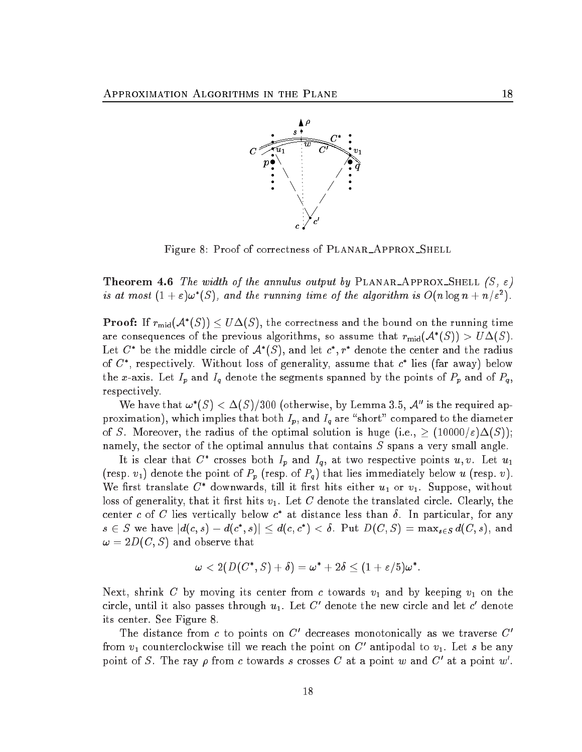

Figure 8: Proof of correctness of PLANAR\_APPROX\_SHELL

**Theorem 4.6** The width of the annulus output by PLANAR APPROX SHELL  $(S, \varepsilon)$ is at most  $(1+\varepsilon)\omega^*(S)$ , and the running time of the algorithm is  $O(n \log n + n/\varepsilon^2)$ .

**Proof:** If  $r_{mid}(\mathcal{A}^*(S)) \leq U\Delta(S)$ , the correctness and the bound on the running time are consequences of the previous algorithms, so assume that  $r_{mid}(\mathcal{A}^*(S)) > U\Delta(S)$ . Let  $C^*$  be the middle circle of  $\mathcal{A}^*(S)$ , and let  $c^*, r^*$  denote the center and the radius of  $C^*$ , respectively. Without loss of generality, assume that  $c^*$  lies (far away) below the x-axis. Let  $I_p$  and  $I_q$  denote the segments spanned by the points of  $P_p$  and of  $P_q$ , respectively.

We have that  $\omega^*(S) < \Delta(S)/300$  (otherwise, by Lemma 3.5,  $\mathcal{A}''$  is the required approximation), which implies that both  $I_p$ , and  $I_q$  are "short" compared to the diameter of S. Moreover, the radius of the optimal solution is huge (i.e.,  $\geq (10000/\varepsilon)\Delta(S)$ ); namely, the sector of the optimal annulus that contains  $S$  spans a very small angle.

It is clear that  $C^*$  crosses both  $I_p$  and  $I_q$ , at two respective points  $u, v$ . Let  $u_1$ (resp.  $v_1$ ) denote the point of  $P_p$  (resp. of  $P_q$ ) that lies immediately below u (resp. v). We first translate  $C^*$  downwards, till it first hits either  $u_1$  or  $v_1$ . Suppose, without loss of generality, that it first hits  $v_1$ . Let C denote the translated circle. Clearly, the center c of C lies vertically below  $c^*$  at distance less than  $\delta$ . In particular, for any  $s\, \in\, S$  we have  $|d(c,s)-d(c^*,s)|\leq d(c,c^*)<\delta.$  Put  $D(C,S)=\max_{s\in S}d(C,s),$  and  $\omega = 2D(C, S)$  and observe that

$$
\omega < 2(D(C^*, S) + \delta) = \omega^* + 2\delta \leq (1 + \varepsilon/5)\omega^*.
$$

Next, shrink C by moving its center from c towards  $v_1$  and by keeping  $v_1$  on the circle, until it also passes through  $u_1$ . Let C' denote the new circle and let c' denote its center. See Figure 8.

The distance from c to points on C' decreases monotonically as we traverse  $C'$ from  $v_1$  counterclockwise till we reach the point on C' antipodal to  $v_1$ . Let s be any point of S. The ray  $\rho$  from c towards s crosses C at a point w and C' at a point w'.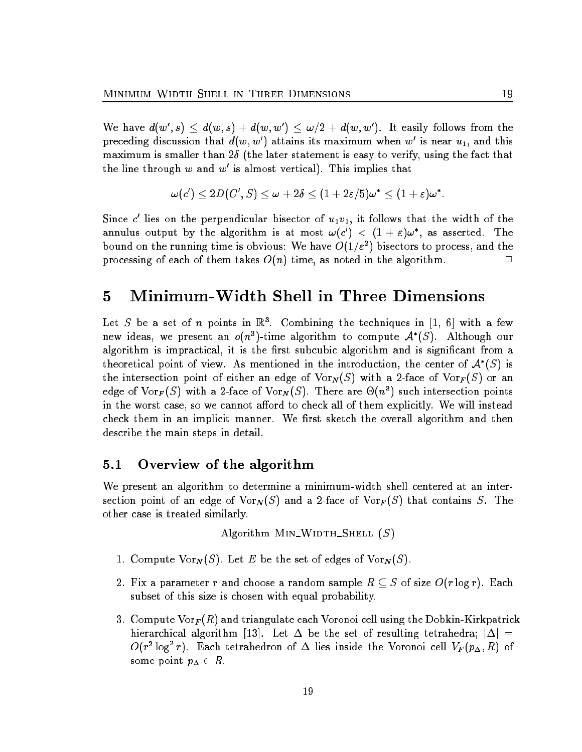We have  $d(w',s) \, \leq \, d(w,s) + d(w,w') \, \leq \, \omega/2 + d(w,w').$  It easily follows from the preceding discussion that  $d(w, w')$  attains its maximum when  $w'$  is near  $u_1$ , and this maximum is smaller than  $2\delta$  (the later statement is easy to verify, using the fact that the line through  $w$  and  $w$  is almost vertical). This implies that

$$
\omega(c')\leq 2D(C',S)\leq \omega+2\delta\leq (1+2\varepsilon/5)\omega^*\leq (1+\varepsilon)\omega^*.
$$

Since  $c$  lies on the perpendicular bisector of  $u_1v_1$ , it follows that the width of the annulus output by the algorithm is at most  $\omega(c') < (1+\varepsilon)\omega^*$ , as asserted. The bound on the running time is obvious: We have  $O(1/\varepsilon^2)$  bisectors to process, and the processing of each of them takes  $O(n)$  time, as noted in the algorithm.

#### 5 Minimum-Width Shell in Three Dimensions  $\overline{5}$

Let S be a set of n points in  $\mathbb{R}^3$ . Combining the techniques in [1, 6] with a few new ideas, we present an  $o(n^3)$ -time algorithm to compute  $\mathcal{A}^*(S)$ . Although our algorithm is impractical, it is the first subcubic algorithm and is significant from a theoretical point of view. As mentioned in the introduction, the center of  $\mathcal{A}^*(S)$  is the intersection point of either an edge of  $\text{Vor}_N(S)$  with a 2-face of  $\text{Vor}_F(S)$  or an edge of  $\text{Vor}_F(S)$  with a 2-face of  $\text{Vor}_N(S)$ . There are  $\Theta(n^3)$  such intersection points in the worst case, so we cannot afford to check all of them explicitly. We will instead check them in an implicit manner. We first sketch the overall algorithm and then describe the main steps in detail.

### 5.1 Overview of the algorithm

We present an algorithm to determine a minimum-width shell centered at an intersection point of an edge of  $\text{Vor}_N(S)$  and a 2-face of  $\text{Vor}_F(S)$  that contains S. The other case is treated similarly.

Algorithm MIN\_WIDTH\_SHELL  $(S)$ 

- 1. Compute  $\text{Vor}_N(S)$ . Let E be the set of edges of  $\text{Vor}_N(S)$ .
- 2. Fix a parameter r and choose a random sample  $R \subseteq S$  of size  $O(r \log r)$ . Each subset of this size is chosen with equal probability.
- 3. Compute Vor $_F(R)$  and triangulate each Voronoi cell using the Dobkin-Kirkpatrick hierarchical algorithm [13]. Let  $\Delta$  be the set of resulting tetrahedra;  $|\Delta|$  =  $O(r^2\log^2 r).$  Each tetrahedron of  $\Delta$  lies inside the Voronoi cell  $V_F(p_{\Delta}, R)$  of some point  $p_{\Delta} \in R$ .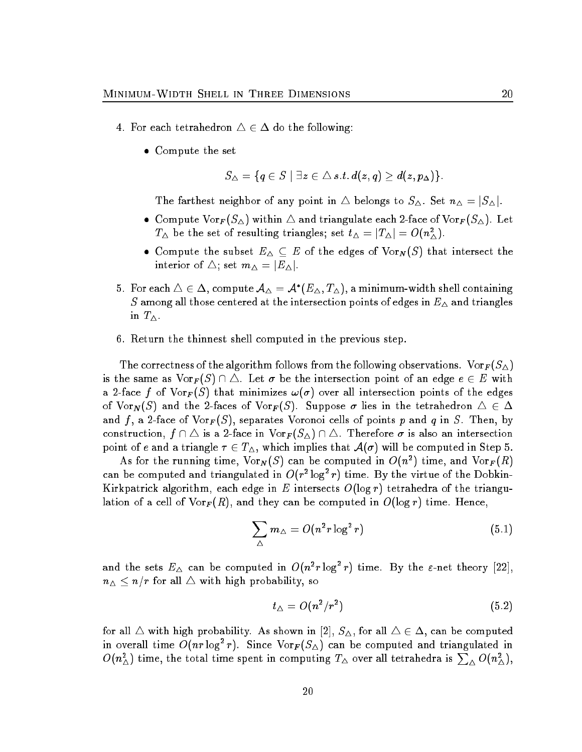- 4. For each tetrahedron  $\Delta \in \Delta$  do the following:
	- Compute the set

$$
S_\triangle=\{q\in S\mid \exists z\in\triangle\, s.t.\, d(z,q)\geq d(z,p_\Delta)\}.
$$

The farthest neighbor of any point in  $\triangle$  belongs to  $S_{\triangle}$ . Set  $n_{\triangle} = |S_{\triangle}|$ .

- Compute  $\text{Vor}_F(S_\Delta)$  within  $\Delta$  and triangulate each 2-face of  $\text{Vor}_F(S_\Delta)$ . Let  $T_{\Delta}$  be the set of resulting triangles; set  $t_{\Delta} = |T_{\Delta}| = O(n_{\Delta}^2)$ .
- Compute the subset  $E_{\Delta} \subseteq E$  of the edges of  $\text{Vor}_N(S)$  that intersect the interior of  $\triangle$ ; set  $m_{\triangle} = |E_{\triangle}|$ .
- $5. \ \ \text{For each} \ \triangle \in \Delta, \ \text{compute} \ \mathcal{A}_\triangle = \mathcal{A}^*(E_\triangle, T_\triangle), \ \text{a minimum-width shell containing}$ S among all those centered at the intersection points of edges in  $E_{\Delta}$  and triangles in  $T_{\Delta}$ .
- 6. Return the thinnest shell computed in the previous step.

The correctness of the algorithm follows from the following observations.  $\text{Vor}_F (S_\Delta)$ is the same as  $\text{Vor}_F(S) \cap \triangle$ . Let  $\sigma$  be the intersection point of an edge  $e \in E$  with a 2-face f of  $\text{Vor}_F(S)$  that minimizes  $\omega(\sigma)$  over all intersection points of the edges of  $\text{Vor}_N(S)$  and the 2-faces of  $\text{Vor}_F(S)$ . Suppose  $\sigma$  lies in the tetrahedron  $\Delta \in \Delta$ and f, a 2-face of  $\text{Vor}_F(S)$ , separates Voronoi cells of points p and q in S. Then, by construction,  $f \cap \Delta$  is a 2-face in  $\text{Vor}_F(S_\Delta) \cap \Delta$ . Therefore  $\sigma$  is also an intersection point of e and a triangle  $\tau \in T_{\Delta}$ , which implies that  $\mathcal{A}(\sigma)$  will be computed in Step 5.

As for the running time,  $\text{Vor}_N(S)$  can be computed in  $O(n^2)$  time, and  $\text{Vor}_F(R)$ can be computed and triangulated in  $O(r^2 \log^2 r)$  time. By the virtue of the Dobkin-Kirkpatrick algorithm, each edge in E intersects  $O(\log r)$  tetrahedra of the triangulation of a cell of  $\text{Vor}_F(R)$ , and they can be computed in  $O(\log r)$  time. Hence,

$$
\sum_{\Delta} m_{\Delta} = O(n^2 r \log^2 r) \tag{5.1}
$$

and the sets  $E_{\Delta}$  can be computed in  $O(n^2 r \log^2 r)$  time. By the  $\varepsilon$ -net theory [22],  $n_{\Delta} \leq n/r$  for all  $\Delta$  with high probability, so

$$
t_{\triangle} = O(n^2/r^2) \tag{5.2}
$$

for all  $\triangle$  with high probability. As shown in [2],  $S_{\triangle}$ , for all  $\triangle \in \triangle$ , can be computed in overall time  $O(nr \log^2 r)$ . Since  $\text{Vor}_{F}(S_{\Delta})$  can be computed and triangulated in  $O(n_\triangle^2)$  time, the total time spent in computing  $T_\triangle$  over all tetrahedra is  $\sum_\triangle O(n_\triangle^2),$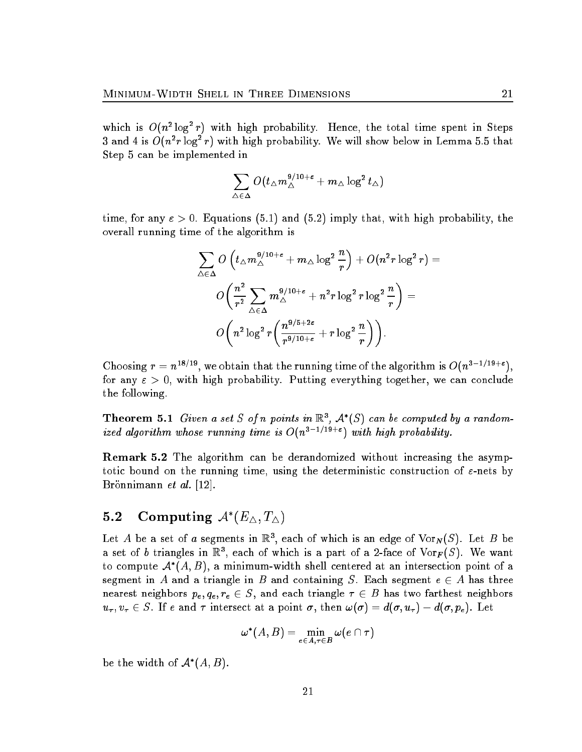which is  $O(n^2 \log^2 r)$  with high probability. Hence, the total time spent in Steps 3 and 4 is  $O(n^2r\log^2 r)$  with high probability. We will show below in Lemma 5.5 that Step 5 can be implemented in

$$
\sum_{\triangle\in\Delta}O(t_\triangle m_\triangle^{9/10+\varepsilon}+m_\triangle\log^2t_\triangle)
$$

time, for any  $\varepsilon > 0$ . Equations (5.1) and (5.2) imply that, with high probability, the overall running time of the algorithm is

$$
\begin{aligned} \sum_{\triangle\in\Delta} & ~O\left(t_\triangle m_\triangle^{9/10+\varepsilon}+m_\triangle\log^2\frac{n}{r}\right)+O(n^2r\log^2r)= \\ & ~O\bigg(\frac{n^2}{r^2}\sum_{\triangle\in\Delta}m_\triangle^{9/10+\varepsilon}+n^2r\log^2r\log^2\frac{n}{r}\bigg)= \\ & ~O\bigg(n^2\log^2r\bigg(\frac{n^{9/5+2\varepsilon}}{r^{9/10+\varepsilon}}+r\log^2\frac{n}{r}\bigg)\bigg). \end{aligned}
$$

Choosing  $r = n^{18/19}$ , we obtain that the running time of the algorithm is  $O(n^{3-1/19+\epsilon})$ , for any  $\epsilon > 0$ , with high probability. Putting everything together, we can conclude the following.

**Theorem 5.1** Given a set S of n points in  $\mathbb{R}^3$ ,  $\mathcal{A}^*(S)$  can be computed by a randomized algorithm whose running time is  $O(n^{3-1/19+\epsilon})$  with high probability.

Remark 5.2 The algorithm can be derandomized without increasing the asymptotic bound on the running time, using the deterministic construction of  $\varepsilon$ -nets by Brönnimann et al. [12].

### 5.4 Computing  $A(E_A, I_A)$

Let A be a set of a segments in  $\mathbb{R}^3$ , each of which is an edge of  $\text{Vor}_N(S)$ . Let B be a set of b triangles in  $\mathbb{R}^3$ , each of which is a part of a 2-face of  $\text{Vor}_F(S)$ . We want to compute  $\mathcal{A}^{*}(A,B)$ , a minimum-width shell centered at an intersection point of a segment in A and a triangle in B and containing S. Each segment  $e \in A$  has three nearest neighbors  $p_e, q_e, r_e \in S$ , and each triangle  $\tau \in B$  has two farthest neighbors  $u_{\tau}, v_{\tau} \in S$ . If e and  $\tau$  intersect at a point  $\sigma$ , then  $\omega(\sigma) = d(\sigma, u_{\tau}) - d(\sigma, p_e)$ . Let

$$
\omega^*(A,B)=\min_{e\in A,\tau\in B}\omega(e\cap\tau)
$$

be the width of  $\mathcal{A}^*(A, B)$ .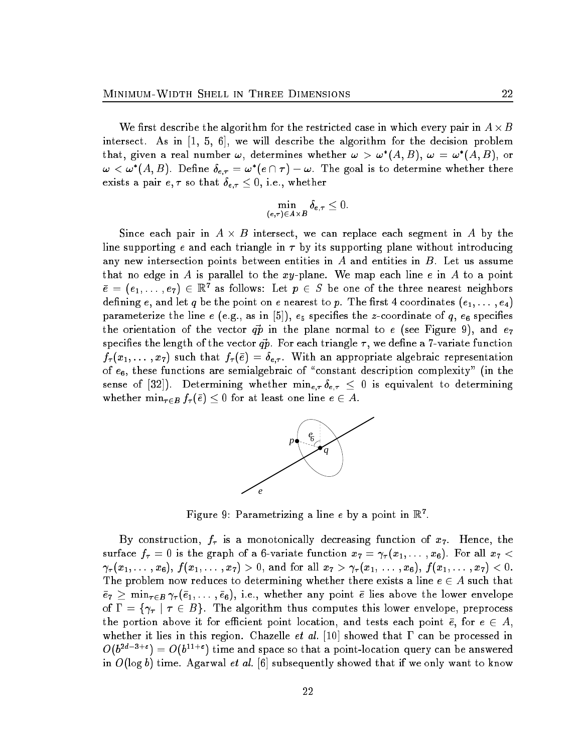We first describe the algorithm for the restricted case in which every pair in  $A\times B$ intersect. As in [1, 5, 6], we will describe the algorithm for the decision problem that, given a real number  $\omega$ , determines whether  $\omega > \omega^*(A,B)$ ,  $\omega = \omega^*(A,B)$ , or  $\omega < \omega^*(A,B)$ . Define  $\delta_{e,\tau} = \omega^*(e \cap \tau) - \omega$ . The goal is to determine whether there exists a pair  $e, \tau$  so that  $\delta_{e, \tau} \leq 0$ , i.e., whether

$$
\min_{(e,\tau)\in A\times B}\delta_{e,\tau}\leq 0.
$$

Since each pair in  $A \times B$  intersect, we can replace each segment in A by the line supporting e and each triangle in  $\tau$  by its supporting plane without introducing any new intersection points between entities in  $A$  and entities in  $B$ . Let us assume that no edge in A is parallel to the  $xy$ -plane. We map each line e in A to a point  $\bar{e} = (e_1, \ldots, e_7) \in \mathbb{R}^7$  as follows: Let  $p \in S$  be one of the three nearest neighbors defining e, and let q be the point on e nearest to p. The first 4 coordinates  $(e_1, \ldots, e_4)$ parameterize the line e (e.g., as in  $|{\mathfrak d}|$ ),  $e_5$  specifies the z-coordinate of  $q,$   $e_6$  specifies the orientation of the vector  $q\vec{p}$  in the plane normal to e (see Figure 9), and  $e_7$ specifies the length of the vector  $\vec{q p}$ . For each triangle  $\tau,$  we define a 7-variate function  $f_\tau(x_1,\dots,x_7)$  such that  $f_\tau(\bar e)=\delta_{e,\tau}.$  With an appropriate algebraic representation of  $e_6$ , these functions are semialgebraic of "constant description complexity" (in the sense of [32]). Determining whether  $\min_{e,\tau} \delta_{e,\tau} \leq 0$  is equivalent to determining whether  $\min_{\tau \in B} f_{\tau}(\bar{e}) \leq 0$  for at least one line  $e \in A$ .



Figure 9: Parametrizing a line e by a point in  $\mathbb{R}^n$ .

By construction,  $f_{\tau}$  is a monotonically decreasing function of  $x_7$ . Hence, the surface  $f_{\tau} = 0$  is the graph of a 6-variate function  $x_7 = \gamma_{\tau}(x_1, \ldots, x_6)$ . For all  $x_7 <$  $(\gamma_{\tau}(x_1,\ldots,x_6),\,f(x_1,\ldots,x_7) > 0,$  and for all  $x_7 > \gamma_{\tau}(x_1,\ldots,x_6),\,f(x_1,\ldots,x_7) < 0.$ The problem now reduces to determining whether there exists a line  $e \in A$  such that  $e_7 \geq \min_{\tau \in B} \gamma_\tau(e_1, \ldots, e_6),$  i.e., whether any point e lies above the lower envelope of  $\Gamma = {\gamma_{\tau}} \mid \tau \in B$ . The algorithm thus computes this lower envelope, preprocess the portion above it for efficient point location, and tests each point  $\bar{e}$ , for  $e \in A$ , whether it lies in this region. Chazelle et al. [10] showed that  $\Gamma$  can be processed in  $O(b^{2d-3+\epsilon}) = O(b^{11+\epsilon})$  time and space so that a point-location query can be answered in  $O(\log b)$  time. Agarwal et al. [6] subsequently showed that if we only want to know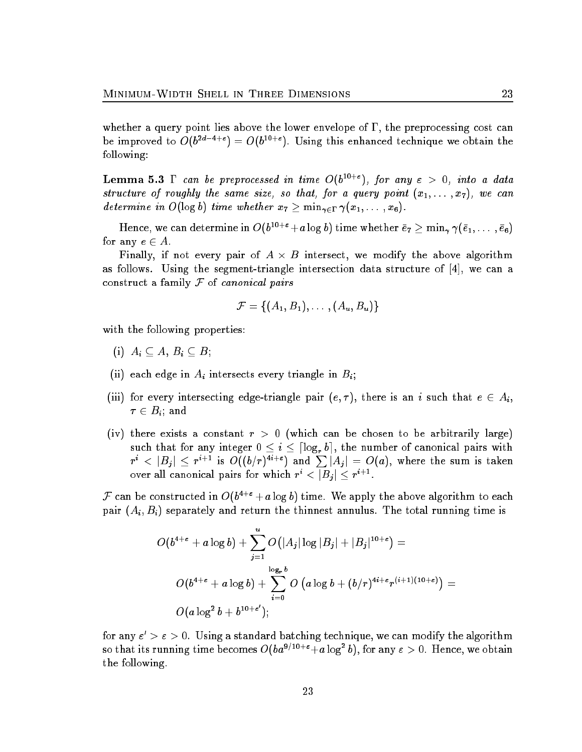whether a query point lies above the lower envelope of  $\Gamma$ , the preprocessing cost can be improved to  $O(b^{2d-4+\epsilon}) = O(b^{10+\epsilon})$ . Using this enhanced technique we obtain the following:

**Lemma 5.3**  $\Gamma$  can be preprocessed in time  $O(b^{10+\epsilon})$ , for any  $\epsilon > 0$ , into a data structure of roughly the same size, so that, for a query point  $(x_1,\ldots,x_7),$  we can determine in  $O(\log b)$  time whether  $x_7 \geq \min_{\gamma \in \Gamma} \gamma(x_1, \ldots, x_6)$ .

Hence, we can determine in  $O(b^{10+\varepsilon}+a\log b)$  time whether  $\bar e_7\ge\min_\gamma\gamma(\bar e_1,\dots,\bar e_6)$ for any  $e \in A$ .

Finally, if not every pair of  $A \times B$  intersect, we modify the above algorithm as follows. Using the segment-triangle intersection data structure of [4], we can a construct a family  $F$  of *canonical pairs* 

$$
\mathcal{F} = \{(A_1, B_1), \ldots, (A_u, B_u)\}
$$

with the following properties:

- (i)  $A_i \subseteq A, B_i \subseteq B;$
- (ii) each edge in  $A_i$  intersects every triangle in  $B_i$ ;
- (iii) for every intersecting edge-triangle pair  $(e, \tau)$ , there is an i such that  $e \in A_i$ ,  $\tau \in B_i$ ; and
- (iv) there exists a constant  $r > 0$  (which can be chosen to be arbitrarily large) such that for any integer  $0 \leq i \leq \lceil \log_r b \rceil$ , the number of canonical pairs with  $r^i \, <\, |B_j| \, \leq \, r^{i+1}$  is  $\mathit{O}((b/r)^{4i+\varepsilon})$  and  $\sum |A_j| \, = \, \mathit{O}(a),$  where the sum is taken over all canonical pairs for which  $r^i < |B_j| \leq r^{i+1}$ .

F can be constructed in  $O(b^{4+\epsilon}+a\log b)$  time. We apply the above algorithm to each pair  $(A_i, B_i)$  separately and return the thinnest annulus. The total running time is

$$
\begin{aligned} O(b^{4+\varepsilon}+a\log b)+&\sum_{j=1}^u O\bigl(|A_j|\log |B_j|+|B_j|^{10+\varepsilon}\bigr)=\\&O(b^{4+\varepsilon}+a\log b)+\sum_{i=0}^{\log_{\varepsilon} b} O\left(a\log b+(b/r)^{4i+\varepsilon}r^{(i+1)(10+\varepsilon)}\right)=\\&O(a\log^2 b+b^{10+\varepsilon'});\end{aligned}
$$

for any  $\varepsilon' > \varepsilon > 0$ . Using a standard batching technique, we can modify the algorithm so that its running time becomes  $O(ba^{9/10+\epsilon}+a\log^2 b)$ , for any  $\varepsilon > 0$ . Hence, we obtain the following.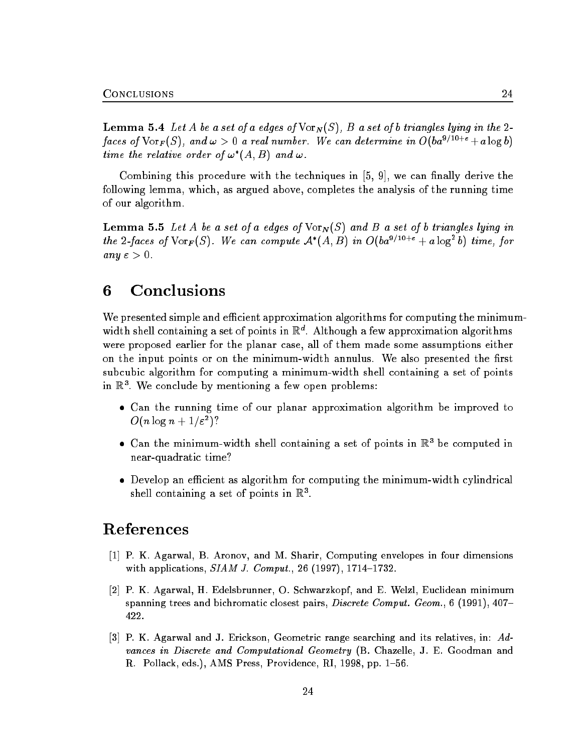**Lemma 5.4** Let A be a set of a edges of  $\text{Vor}_N(S)$ , B a set of b triangles lying in the 2faces of  $\text{Vor}_F(S)$ , and  $\omega > 0$  a real number. We can determine in  $O(ba^{9/10+\epsilon} + a \log b)$ time the relative order of  $\omega^*(A, B)$  and  $\omega$ .

Combining this procedure with the techniques in  $[5, 9]$ , we can finally derive the following lemma, which, as argued above, completes the analysis of the running time of our algorithm.

**Lemma 5.5** Let A be a set of a edges of  $\text{Vor}_N(S)$  and B a set of b triangles lying in the 2-faces of  $\text{Vor}_F(S)$ . We can compute  $\mathcal{A}^*(A, B)$  in  $O(ba^{9/10+\epsilon} + a \log^2 b)$  time, for any  $\varepsilon > 0$ .

#### **Conclusions** 6

We presented simple and efficient approximation algorithms for computing the minimumwidth shell containing a set of points in  $\mathbb{R}^d$ . Although a few approximation algorithms were proposed earlier for the planar case, all of them made some assumptions either on the input points or on the minimum-width annulus. We also presented the first subcubic algorithm for computing a minimum-width shell containing a set of points in R3 . We conclude by mentioning a few open problems:

- Can the running time of our planar approximation algorithm be improved to  $O(n\log n + 1/\varepsilon^2)?$
- $\bullet$  Can the minimum-width shell containing a set of points in  $\mathbb{R}^3$  be computed in near-quadratic time?
- Develop an efficient as algorithm for computing the minimum-width cylindrical shell containing a set of points in  $\mathbb{R}^+$ .

# References

- [1] P. K. Agarwal, B. Aronov, and M. Sharir, Computing envelopes in four dimensions with applications,  $SIAM$  J. Comput., 26 (1997), 1714-1732.
- [2] P. K. Agarwal, H. Edelsbrunner, O. Schwarzkopf, and E. Welzl, Euclidean minimum spanning trees and bichromatic closest pairs, *Discrete Comput. Geom.*, 6 (1991),  $407-$ 422.
- [3] P. K. Agarwal and J. Erickson, Geometric range searching and its relatives, in: Advances in Discrete and Computational Geometry (B. Chazelle, J. E. Goodman and R. Pollack, eds.), AMS Press, Providence, RI, 1998, pp. 1–56.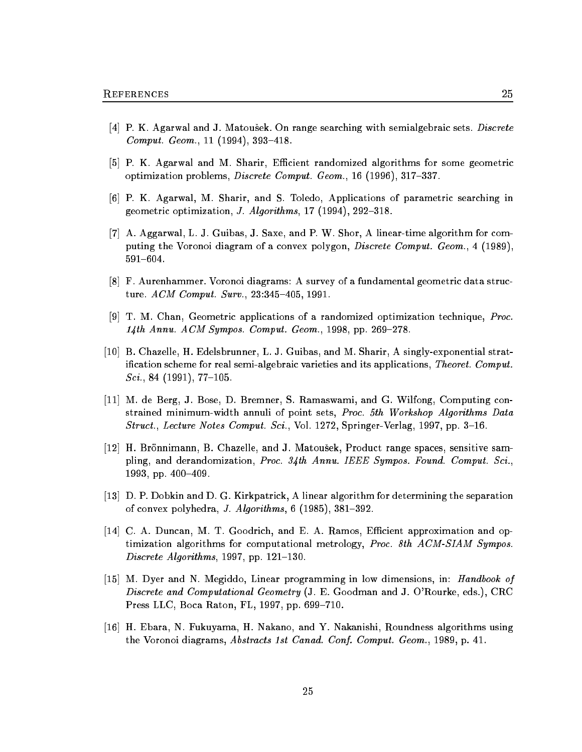- [4] P. K. Agarwal and J. Matousek. On range searching with semialgebraic sets. Discrete Comput. Geom.,  $11$  (1994), 393-418.
- [5] P. K. Agarwal and M. Sharir, Efficient randomized algorithms for some geometric optimization problems, *Discrete Comput. Geom.*, 16 (1996),  $317-337$ .
- [6] P. K. Agarwal, M. Sharir, and S. Toledo, Applications of parametric searching in geometric optimization, *J. Algorithms*,  $17$  (1994),  $292-318$ .
- [7] A. Aggarwal, L. J. Guibas, J. Saxe, and P. W. Shor, A linear-time algorithm for computing the Voronoi diagram of a convex polygon, *Discrete Comput. Geom.*, 4 (1989) 591-604.
- [8] F. Aurenhammer. Voronoi diagrams: A survey of a fundamental geometric data structure.  $ACM$  Comput. Surv., 23:345-405, 1991.
- [9] T. M. Chan, Geometric applications of a randomized optimization technique, Proc.  $14th$  Annu. ACM Sympos. Comput. Geom., 1998, pp. 269-278.
- [10] B. Chazelle, H. Edelsbrunner, L. J. Guibas, and M. Sharir, A singly-exponential stratification scheme for real semi-algebraic varieties and its applications, Theoret. Comput.  $Sci.$ , 84 (1991), 77-105.
- [11] M. de Berg, J. Bose, D. Bremner, S. Ramaswami, and G. Wilfong, Computing constrained minimum-width annuli of point sets, Proc. 5th Workshop Algorithms Data Struct., Lecture Notes Comput. Sci., Vol. 1272, Springer-Verlag, 1997, pp. 3–16.
- [12] H. Brönnimann, B. Chazelle, and J. Matoušek, Product range spaces, sensitive sampling, and derandomization, Proc. 34th Annu. IEEE Sympos. Found. Comput. Sci., 1993, pp.  $400-409$ .
- [13] D. P. Dobkin and D. G. Kirkpatrick, A linear algorithm for determining the separation of convex polyhedra, J. Algorithms,  $6(1985)$ ,  $381-392$ .
- [14] C. A. Duncan, M. T. Goodrich, and E. A. Ramos, Efficient approximation and optimization algorithms for computational metrology, Proc. 8th ACM-SIAM Sympos. Discrete Algorithms, 1997, pp.  $121–130$ .
- [15] M. Dyer and N. Megiddo, Linear programming in low dimensions, in: Handbook of Discrete and Computational Geometry (J. E. Goodman and J. O'Rourke, eds.), CRC Press LLC, Boca Raton, FL, 1997, pp. 699-710.
- [16] H. Ebara, N. Fukuyama, H. Nakano, and Y. Nakanishi, Roundness algorithms using the Voronoi diagrams, Abstracts 1st Canad. Conf. Comput. Geom., 1989, p. 41.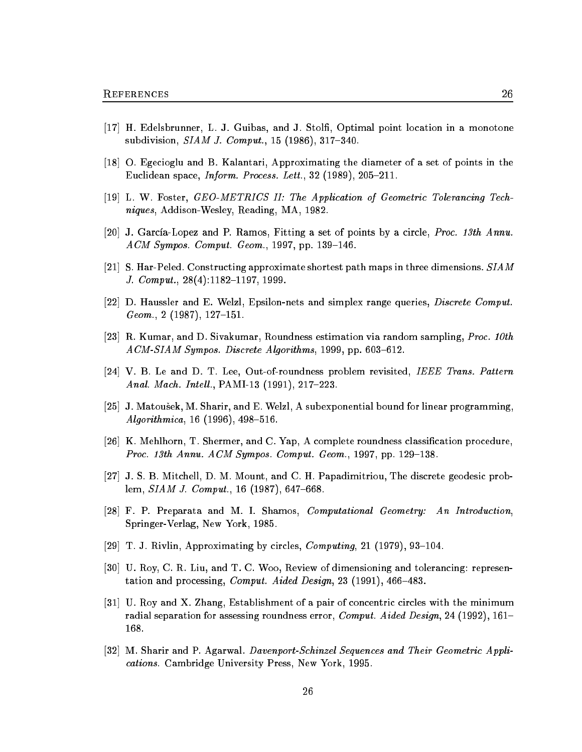- [17] H. Edelsbrunner, L. J. Guibas, and J. Stol, Optimal point location in a monotone subdivision,  $SIAM$  J. Comput., 15 (1986), 317-340.
- [18] O. Egecioglu and B. Kalantari, Approximating the diameter of a set of points in the Euclidean space, *Inform. Process. Lett.*, 32 (1989), 205–211.
- [19] L. W. Foster, GEO-METRICS II: The Application of Geometric Tolerancing Techniques, Addison-Wesley, Reading, MA, 1982.
- [20] J. García-Lopez and P. Ramos, Fitting a set of points by a circle, Proc. 13th Annu.  $ACM$  Sympos. Comput. Geom., 1997, pp. 139-146.
- [21] S. Har-Peled. Constructing approximate shortest path maps in three dimensions.  $SIAM$ J. Comput.,  $28(4):1182-1197, 1999$ .
- [22] D. Haussler and E. Welzl, Epsilon-nets and simplex range queries, Discrete Comput.  $Geom., 2 (1987), 127-151.$
- [23] R. Kumar, and D. Sivakumar, Roundness estimation via random sampling, Proc. 10th ACM-SIAM Sympos. Discrete Algorithms, 1999, pp. 603-612.
- [24] V. B. Le and D. T. Lee, Out-of-roundness problem revisited, IEEE Trans. Pattern *Anal. Mach. Intell., PAMI-13 (1991), 217-223.*
- [25] J. Matousek, M. Sharir, and E. Welzl, A subexponential bound for linear programming,  $Algorithmica, 16 (1996), 498–516.$
- [26] K. Mehlhorn, T. Shermer, and C. Yap, A complete roundness classification procedure, Proc. 13th Annu. ACM Sympos. Comput. Geom., 1997, pp. 129-138.
- [27] J. S. B. Mitchell, D. M. Mount, and C. H. Papadimitriou, The discrete geodesic problem,  $SIAM$  J. Comput., 16 (1987), 647–668.
- [28] F. P. Preparata and M. I. Shamos, Computational Geometry: An Introduction, Springer-Verlag, New York, 1985.
- [29] T. J. Rivlin, Approximating by circles, *Computing*, 21 (1979), 93–104.
- [30] U. Roy, C. R. Liu, and T. C. Woo, Review of dimensioning and tolerancing: representation and processing, Comput. Aided Design, 23 (1991), 466-483.
- [31] U. Roy and X. Zhang, Establishment of a pair of concentric circles with the minimum radial separation for assessing roundness error, *Comput. Aided Design*, 24 (1992), 161– 168.
- [32] M. Sharir and P. Agarwal. Davenport-Schinzel Sequences and Their Geometric Applications. Cambridge University Press, New York, 1995.